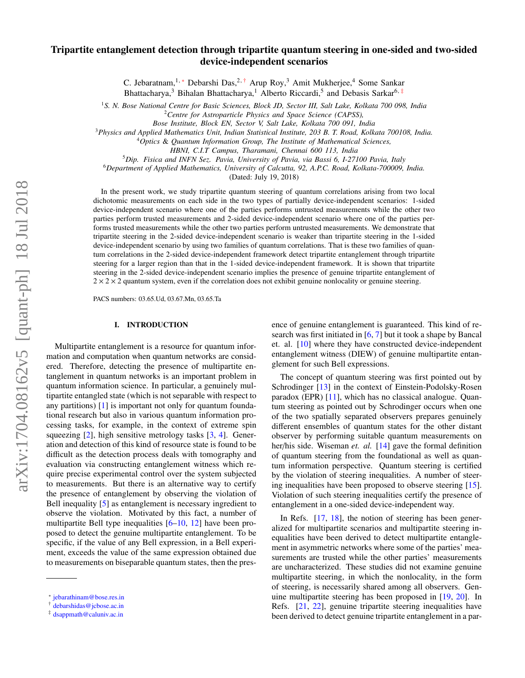# Tripartite entanglement detection through tripartite quantum steering in one-sided and two-sided device-independent scenarios

C. Jebaratnam,<sup>1,[∗](#page-0-0)</sup> Debarshi Das,<sup>2,[†](#page-0-1)</sup> Arup Roy,<sup>3</sup> Amit Mukherjee,<sup>4</sup> Some Sankar

Bhattacharya,<sup>3</sup> Bihalan Bhattacharya,<sup>1</sup> Alberto Riccardi,<sup>5</sup> and Debasis Sarkar<sup>6, [‡](#page-0-2)</sup>

<sup>1</sup>*S. N. Bose National Centre for Basic Sciences, Block JD, Sector III, Salt Lake, Kolkata 700 098, India*

<sup>2</sup>*Centre for Astroparticle Physics and Space Science (CAPSS),*

*Bose Institute, Block EN, Sector V, Salt Lake, Kolkata 700 091, India*

<sup>3</sup>*Physics and Applied Mathematics Unit, Indian Statistical Institute, 203 B. T. Road, Kolkata 700108, India.*

<sup>4</sup>*Optics* & *Quantum Information Group, The Institute of Mathematical Sciences,*

*HBNI, C.I.T Campus, Tharamani, Chennai 600 113, India*

<sup>5</sup>*Dip. Fisica and INFN Sez. Pavia, University of Pavia, via Bassi 6, I-27100 Pavia, Italy*

<sup>6</sup>*Department of Applied Mathematics, University of Calcutta, 92, A.P.C. Road, Kolkata-700009, India.*

(Dated: July 19, 2018)

In the present work, we study tripartite quantum steering of quantum correlations arising from two local dichotomic measurements on each side in the two types of partially device-independent scenarios: 1-sided device-independent scenario where one of the parties performs untrusted measurements while the other two parties perform trusted measurements and 2-sided device-independent scenario where one of the parties performs trusted measurements while the other two parties perform untrusted measurements. We demonstrate that tripartite steering in the 2-sided device-independent scenario is weaker than tripartite steering in the 1-sided device-independent scenario by using two families of quantum correlations. That is these two families of quantum correlations in the 2-sided device-independent framework detect tripartite entanglement through tripartite steering for a larger region than that in the 1-sided device-independent framework. It is shown that tripartite steering in the 2-sided device-independent scenario implies the presence of genuine tripartite entanglement of  $2 \times 2 \times 2$  quantum system, even if the correlation does not exhibit genuine nonlocality or genuine steering.

PACS numbers: 03.65.Ud, 03.67.Mn, 03.65.Ta

#### I. INTRODUCTION

Multipartite entanglement is a resource for quantum information and computation when quantum networks are considered. Therefore, detecting the presence of multipartite entanglement in quantum networks is an important problem in quantum information science. In particular, a genuinely multipartite entangled state (which is not separable with respect to any partitions) [\[1\]](#page-12-0) is important not only for quantum foundational research but also in various quantum information processing tasks, for example, in the context of extreme spin squeezing [\[2\]](#page-12-1), high sensitive metrology tasks [\[3,](#page-12-2) [4\]](#page-12-3). Generation and detection of this kind of resource state is found to be difficult as the detection process deals with tomography and evaluation via constructing entanglement witness which require precise experimental control over the system subjected to measurements. But there is an alternative way to certify the presence of entanglement by observing the violation of Bell inequality [\[5\]](#page-12-4) as entanglement is necessary ingredient to observe the violation. Motivated by this fact, a number of multipartite Bell type inequalities  $[6-10, 12]$  $[6-10, 12]$  $[6-10, 12]$  have been proposed to detect the genuine multipartite entanglement. To be specific, if the value of any Bell expression, in a Bell experiment, exceeds the value of the same expression obtained due to measurements on biseparable quantum states, then the presence of genuine entanglement is guaranteed. This kind of research was first initiated in [\[6,](#page-12-5) [7\]](#page-12-8) but it took a shape by Bancal et. al. [\[10\]](#page-12-6) where they have constructed device-independent entanglement witness (DIEW) of genuine multipartite entanglement for such Bell expressions.

The concept of quantum steering was first pointed out by Schrodinger [\[13\]](#page-12-9) in the context of Einstein-Podolsky-Rosen paradox (EPR) [\[11\]](#page-12-10), which has no classical analogue. Quantum steering as pointed out by Schrodinger occurs when one of the two spatially separated observers prepares genuinely different ensembles of quantum states for the other distant observer by performing suitable quantum measurements on her/his side. Wiseman *et. al.* [\[14\]](#page-12-11) gave the formal definition of quantum steering from the foundational as well as quantum information perspective. Quantum steering is certified by the violation of steering inequalities. A number of steering inequalities have been proposed to observe steering [\[15\]](#page-12-12). Violation of such steering inequalities certify the presence of entanglement in a one-sided device-independent way.

In Refs. [\[17,](#page-12-13) [18\]](#page-12-14), the notion of steering has been generalized for multipartite scenarios and multipartite steering inequalities have been derived to detect multipartite entanglement in asymmetric networks where some of the parties' measurements are trusted while the other parties' measurements are uncharacterized. These studies did not examine genuine multipartite steering, in which the nonlocality, in the form of steering, is necessarily shared among all observers. Genuine multipartite steering has been proposed in [\[19,](#page-12-15) [20\]](#page-12-16). In Refs. [\[21,](#page-12-17) [22\]](#page-12-18), genuine tripartite steering inequalities have been derived to detect genuine tripartite entanglement in a par-

<span id="page-0-0"></span><sup>∗</sup> [jebarathinam@bose.res.in](mailto:jebarathinam@bose.res.in)

<span id="page-0-1"></span><sup>†</sup> [debarshidas@jcbose.ac.in](mailto:debarshidas@jcbose.ac.in)

<span id="page-0-2"></span><sup>‡</sup> [dsappmath@caluniv.ac.in](mailto:dsappmath@caluniv.ac.in)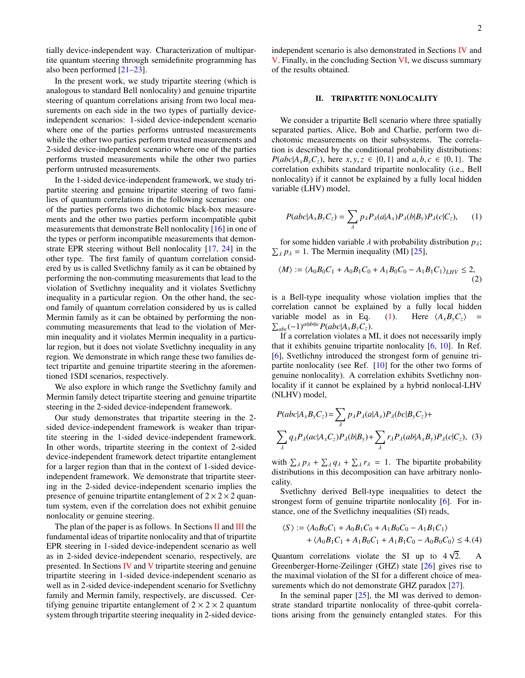tially device-independent way. Characterization of multipartite quantum steering through semidefinite programming has also been performed [\[21](#page-12-17)[–23\]](#page-12-19).

In the present work, we study tripartite steering (which is analogous to standard Bell nonlocality) and genuine tripartite steering of quantum correlations arising from two local measurements on each side in the two types of partially deviceindependent scenarios: 1-sided device-independent scenario where one of the parties performs untrusted measurements while the other two parties perform trusted measurements and 2-sided device-independent scenario where one of the parties performs trusted measurements while the other two parties perform untrusted measurements.

In the 1-sided device-independent framework, we study tripartite steering and genuine tripartite steering of two families of quantum correlations in the following scenarios: one of the parties performs two dichotomic black-box measurements and the other two parties perform incompatible qubit measurements that demonstrate Bell nonlocality [\[16\]](#page-12-20) in one of the types or perform incompatible measurements that demonstrate EPR steering without Bell nonlocality [\[17,](#page-12-13) [24\]](#page-13-0) in the other type. The first family of quantum correlation considered by us is called Svetlichny family as it can be obtained by performing the non-commuting measurements that lead to the violation of Svetlichny inequality and it violates Svetlichny inequality in a particular region. On the other hand, the second family of quantum correlation considered by us is called Mermin family as it can be obtained by performing the noncommuting measurements that lead to the violation of Mermin inequality and it violates Mermin inequality in a particular region, but it does not violate Svetlichny inequality in any region. We demonstrate in which range these two families detect tripartite and genuine tripartite steering in the aforementioned 1SDI scenarios, respectively.

We also explore in which range the Svetlichny family and Mermin family detect tripartite steering and genuine tripartite steering in the 2-sided device-independent framework.

Our study demonstrates that tripartite steering in the 2 sided device-independent framework is weaker than tripartite steering in the 1-sided device-independent framework. In other words, tripartite steering in the context of 2-sided device-independent framework detect tripartite entanglement for a larger region than that in the context of 1-sided deviceindependent framework. We demonstrate that tripartite steering in the 2-sided device-independent scenario implies the presence of genuine tripartite entanglement of  $2 \times 2 \times 2$  quantum system, even if the correlation does not exhibit genuine nonlocality or genuine steering.

The plan of the paper is as follows. In Sections  $\overline{II}$  $\overline{II}$  $\overline{II}$  and  $\overline{III}$  $\overline{III}$  $\overline{III}$  the fundamental ideas of tripartite nonlocality and that of tripartite EPR steering in 1-sided device-independent scenario as well as in 2-sided device-independent scenario, respectively, are presented. In Sections [IV](#page-4-0) and [V](#page-6-0) tripartite steering and genuine tripartite steering in 1-sided device-independent scenario as well as in 2-sided device-independent scenario for Svetlichny family and Mermin family, respectively, are discussed. Certifying genuine tripartite entanglement of  $2 \times 2 \times 2$  quantum system through tripartite steering inequality in 2-sided deviceindependent scenario is also demonstrated in Sections [IV](#page-4-0) and [V.](#page-6-0) Finally, in the concluding Section [VI,](#page-7-0) we discuss summary of the results obtained.

#### <span id="page-1-0"></span>II. TRIPARTITE NONLOCALITY

We consider a tripartite Bell scenario where three spatially separated parties, Alice, Bob and Charlie, perform two dichotomic measurements on their subsystems. The correlation is described by the conditional probability distributions: *P*(*abc*| $A_x B_y C_z$ ), here *x*, *y*, *z* ∈ {0, 1} and *a*, *b*, *c* ∈ {0, 1}. The correlation exhibits standard tripartite nonlocality (i.e., Bell nonlocality) if it cannot be explained by a fully local hidden variable (LHV) model,

<span id="page-1-1"></span>
$$
P(abc|A_xB_yC_z) = \sum_{\lambda} p_{\lambda}P_{\lambda}(a|A_x)P_{\lambda}(b|B_y)P_{\lambda}(c|C_z), \qquad (1)
$$

for some hidden variable  $\lambda$  with probability distribution  $p_{\lambda}$ ;  $\sum_{\lambda} p_{\lambda} = 1$ . The Mermin inequality (MI) [\[25\]](#page-13-1),

<span id="page-1-3"></span>
$$
\langle M \rangle := \langle A_0 B_0 C_1 + A_0 B_1 C_0 + A_1 B_0 C_0 - A_1 B_1 C_1 \rangle_{LHV} \le 2,
$$
\n(2)

is a Bell-type inequality whose violation implies that the correlation cannot be explained by a fully local hidden variable model as in Eq. [\(1\)](#page-1-1). Here  $\langle A_x B_y C_z \rangle$  =  $\sum_{abc} (-1)^{a \oplus b \oplus c} P(abc|A_xB_yC_z).$ 

If a correlation violates a MI, it does not necessarily imply that it exhibits genuine tripartite nonlocality [\[6,](#page-12-5) [10\]](#page-12-6). In Ref. [\[6\]](#page-12-5), Svetlichny introduced the strongest form of genuine tripartite nonlocality (see Ref. [\[10\]](#page-12-6) for the other two forms of genuine nonlocality). A correlation exhibits Svetlichny nonlocality if it cannot be explained by a hybrid nonlocal-LHV (NLHV) model,

<span id="page-1-4"></span>
$$
P(abc|A_xB_yC_z) = \sum_{\lambda} p_{\lambda}P_{\lambda}(a|A_x)P_{\lambda}(bc|B_yC_z) +
$$
  

$$
\sum_{\lambda} q_{\lambda}P_{\lambda}(ac|A_xC_z)P_{\lambda}(b|B_y) + \sum_{\lambda} r_{\lambda}P_{\lambda}(ab|A_xB_y)P_{\lambda}(c|C_z),
$$
 (3)

with  $\sum_{\lambda} p_{\lambda} + \sum_{\lambda} q_{\lambda} + \sum_{\lambda} r_{\lambda} = 1$ . The bipartite probability<br>distributions in this decomposition can bave arbitrary poplo distributions in this decomposition can have arbitrary nonlocality.

Svetlichny derived Bell-type inequalities to detect the strongest form of genuine tripartite nonlocality [\[6\]](#page-12-5). For instance, one of the Svetlichny inequalities (SI) reads,

<span id="page-1-2"></span>
$$
\langle S \rangle := \langle A_0 B_0 C_1 + A_0 B_1 C_0 + A_1 B_0 C_0 - A_1 B_1 C_1 \rangle
$$
  
+ 
$$
\langle A_0 B_1 C_1 + A_1 B_0 C_1 + A_1 B_1 C_0 - A_0 B_0 C_0 \rangle \le 4. (4)
$$

Quantum correlations violate the SI up to  $4\sqrt{2}$ . A Greenberger-Horne-Zeilinger (GHZ) state [\[26\]](#page-13-2) gives rise to the maximal violation of the SI for a different choice of mea-surements which do not demonstrate GHZ paradox [\[27\]](#page-13-3).

In the seminal paper  $[25]$ , the MI was derived to demonstrate standard tripartite nonlocality of three-qubit correlations arising from the genuinely entangled states. For this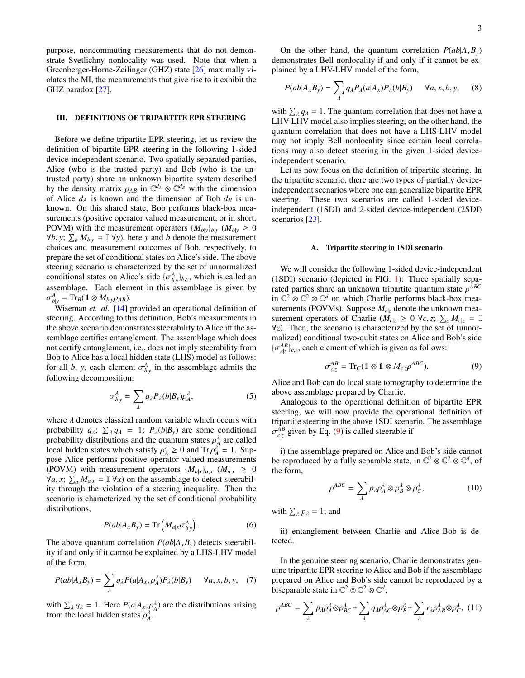purpose, noncommuting measurements that do not demonstrate Svetlichny nonlocality was used. Note that when a Greenberger-Horne-Zeilinger (GHZ) state [\[26\]](#page-13-2) maximally violates the MI, the measurements that give rise to it exhibit the GHZ paradox [\[27\]](#page-13-3).

#### <span id="page-2-0"></span>III. DEFINITIONS OF TRIPARTITE EPR STEERING

Before we define tripartite EPR steering, let us review the definition of bipartite EPR steering in the following 1-sided device-independent scenario. Two spatially separated parties, Alice (who is the trusted party) and Bob (who is the untrusted party) share an unknown bipartite system described by the density matrix  $\rho_{AB}$  in  $\mathbb{C}^{d_A} \otimes \mathbb{C}^{d_B}$  with the dimension<br>of Alice d, is known and the dimension of Bob d<sub>e</sub> is unof Alice  $d_A$  is known and the dimension of Bob  $d_B$  is unknown. On this shared state, Bob performs black-box measurements (positive operator valued measurement, or in short, POVM) with the measurement operators  $\{M_{b|y}\}_{b,y}$  ( $M_{b|y} \ge 0$  $\forall b, y; \sum_b M_{b|y} = \mathbb{I} \ \forall y$ , here *y* and *b* denote the measurement choices and measurement outcomes of Bob respectively to choices and measurement outcomes of Bob, respectively, to prepare the set of conditional states on Alice's side. The above steering scenario is characterized by the set of unnormalized conditional states on Alice's side  $\{\sigma_{b|y}^A\}_{b,y}$ , which is called an assemblage. Each element in this assemblage is given by assemblage. Each element in this assemblage is given by  $A_{b|y}^A = \text{Tr}_B(\mathbb{1} \otimes M_{b|y} \rho_{AB}).$ <br>Wiseman *at* al [14]

Wiseman *et. al.* [\[14\]](#page-12-11) provided an operational definition of steering. According to this definition, Bob's measurements in the above scenario demonstrates steerability to Alice iff the assemblage certifies entanglement. The assemblage which does not certify entanglement, i.e., does not imply steerability from Bob to Alice has a local hidden state (LHS) model as follows: for all *b*, *y*, each element  $\sigma_{b|y}^A$  in the assemblage admits the following decomposition: following decomposition:

$$
\sigma_{b|y}^A = \sum_{\lambda} q_{\lambda} P_{\lambda}(b|B_y) \rho_A^{\lambda}, \tag{5}
$$

where  $\lambda$  denotes classical random variable which occurs with probability  $q_{\lambda}$ ;  $\sum_{\lambda} q_{\lambda} = 1$ ;  $P_{\lambda}(b|B_{y})$  are some conditional<br>probability distributions and the quantum states  $\alpha^{A}$  are called probability distributions and the quantum states  $\rho_A^A$  are called<br>local hidden states which satisfy  $\rho_A^A > 0$  and  $Tr \rho_A^A = 1$ . Sunlocal hidden states which satisfy  $\rho_A^{\lambda} \geq 0$  and  $Tr \rho_A^{\lambda} = 1$ . Sup-<br>pose Alice performs positive operator valued measurements pose Alice performs positive operator valued measurements (POVM) with measurement operators  $\{M_{a|x}\}_{a,x}$  ( $M_{a|x} \geq 0$  $\forall a, x; \sum_{a} M_{a|x} = \mathbb{I} \ \forall x$  on the assemblage to detect steerabil-<br>ity through the violation of a steering inequality. Then the ity through the violation of a steering inequality. Then the scenario is characterized by the set of conditional probability distributions,

$$
P(ab|A_xB_y) = \text{Tr}\left(M_{a|x}\sigma_{b|y}^A\right). \tag{6}
$$

The above quantum correlation  $P(ab|A_xB_y)$  detects steerability if and only if it cannot be explained by a LHS-LHV model of the form,

$$
P(ab|A_xB_y) = \sum_{\lambda} q_{\lambda} P(a|A_x, \rho_A^{\lambda}) P_{\lambda}(b|B_y) \quad \forall a, x, b, y, \quad (7)
$$

with  $\sum_{\lambda} q_{\lambda} = 1$ . Here  $P(a|A_{x}, \rho_{A}^{\lambda})$  are the distributions arising from the local bidden states  $\rho_{A}^{\lambda}$ from the local hidden states  $\rho_A^{\lambda}$ .

On the other hand, the quantum correlation  $P(ab|A_xB_y)$ demonstrates Bell nonlocality if and only if it cannot be explained by a LHV-LHV model of the form,

$$
P(ab|A_xB_y) = \sum_{\lambda} q_{\lambda} P_{\lambda}(a|A_x) P_{\lambda}(b|B_y) \quad \forall a, x, b, y,
$$
 (8)

with  $\sum_{\lambda} q_{\lambda} = 1$ . The quantum correlation that does not have a put  $\sum_{\lambda} q_{\lambda} = 1$ . The quantum correlation that does not have LHV-LHV model also implies steering, on the other hand, the quantum correlation that does not have a LHS-LHV model may not imply Bell nonlocality since certain local correlations may also detect steering in the given 1-sided deviceindependent scenario.

Let us now focus on the definition of tripartite steering. In the tripartite scenario, there are two types of partially deviceindependent scenarios where one can generalize bipartite EPR steering. These two scenarios are called 1-sided deviceindependent (1SDI) and 2-sided device-independent (2SDI) scenarios [\[23\]](#page-12-19).

#### A. Tripartite steering in 1SDI scenario

We will consider the following 1-sided device-independent (1SDI) scenario (depicted in FIG. [1\)](#page-3-0): Three spatially separated parties share an unknown tripartite quantum state  $\rho^{ABC}$ <br>in  $\mathbb{C}^2 \otimes \mathbb{C}^2 \otimes \mathbb{C}^d$  on which Charlie performs black-box meain  $\mathbb{C}^2 \otimes \mathbb{C}^2 \otimes \mathbb{C}^d$  on which Charlie performs black-box measurements (POVMs). Suppose *Mc*|*<sup>z</sup>* denote the unknown measurement operators of Charlie ( $\hat{M}_{c|z} \ge 0$   $\forall c, z$ ;  $\sum_{c} M_{c|z} = \mathbb{I}$ <br> $\forall z$ ) Then the scenario is characterized by the set of (unnor-∀*z*). Then, the scenario is characterized by the set of (unnormalized) conditional two-qubit states on Alice and Bob's side  ${\{\sigma^{AB}_{c|z}\}}_{c,z}$ , each element of which is given as follows:

<span id="page-2-1"></span>
$$
\sigma_{c|z}^{AB} = \text{Tr}_C(\mathbb{1} \otimes \mathbb{1} \otimes M_{c|z} \rho^{ABC}). \tag{9}
$$

Alice and Bob can do local state tomography to determine the above assemblage prepared by Charlie.

Analogous to the operational definition of bipartite EPR steering, we will now provide the operational definition of tripartite steering in the above 1SDI scenario. The assemblage  $A_B^B$  given by Eq. [\(9\)](#page-2-1) is called steerable if

i) the assemblage prepared on Alice and Bob's side cannot be reproduced by a fully separable state, in  $\mathbb{C}^2 \otimes \mathbb{C}^2 \otimes \mathbb{C}^d$ , of the form,

$$
\rho^{ABC} = \sum_{\lambda} p_{\lambda} \rho_A^{\lambda} \otimes \rho_B^{\lambda} \otimes \rho_C^{\lambda}, \qquad (10)
$$

with  $\sum_{\lambda} p_{\lambda} = 1$ ; and

ii) entanglement between Charlie and Alice-Bob is detected.

In the genuine steering scenario, Charlie demonstrates genuine tripartite EPR steering to Alice and Bob if the assemblage prepared on Alice and Bob's side cannot be reproduced by a biseparable state in  $\mathbb{C}^2 \otimes \mathbb{C}^2 \otimes \mathbb{C}^d$ ,

<span id="page-2-2"></span>
$$
\rho^{ABC} = \sum_{\lambda} p_{\lambda} \rho_{A}^{\lambda} \otimes \rho_{BC}^{\lambda} + \sum_{\lambda} q_{\lambda} \rho_{AC}^{\lambda} \otimes \rho_{B}^{\lambda} + \sum_{\lambda} r_{\lambda} \rho_{AB}^{\lambda} \otimes \rho_{C}^{\lambda}, \quad (11)
$$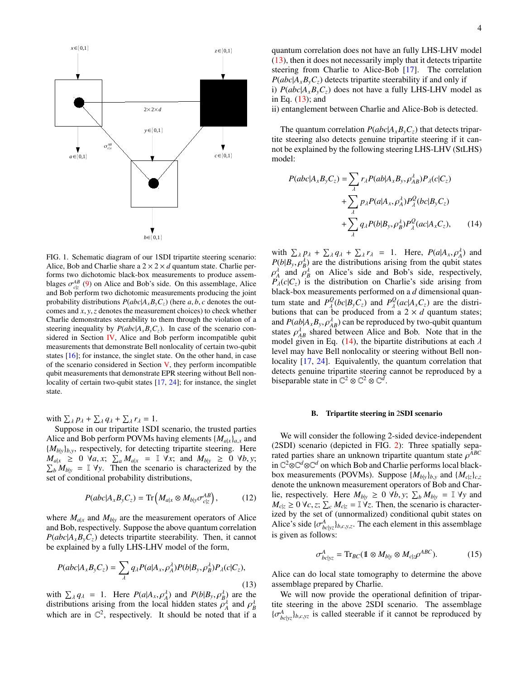

<span id="page-3-0"></span>FIG. 1. Schematic diagram of our 1SDI tripartite steering scenario: Alice, Bob and Charlie share a  $2 \times 2 \times d$  quantum state. Charlie performs two dichotomic black-box measurements to produce assemblages  $\sigma_{\text{cyc}}^{AB}$  [\(9\)](#page-2-1) on Alice and Bob's side. On this assemblage, Alice and Bob perform two dichotomic measurements producing the joint and Bob perform two dichotomic measurements producing the joint probability distributions  $P(abc|A_xB_yC_z)$  (here *a*, *b*, *c* denotes the outcomes and *<sup>x</sup>*, *<sup>y</sup>*,*<sup>z</sup>* denotes the measurement choices) to check whether Charlie demonstrates steerability to them through the violation of a steering inequality by  $P(abc|A_xB_yC_z)$ . In case of the scenario considered in Section [IV,](#page-4-0) Alice and Bob perform incompatible qubit measurements that demonstrate Bell nonlocality of certain two-qubit states [\[16\]](#page-12-20); for instance, the singlet state. On the other hand, in case of the scenario considered in Section  $V$ , they perform incompatible qubit measurements that demonstrate EPR steering without Bell nonlocality of certain two-qubit states [\[17,](#page-12-13) [24\]](#page-13-0); for instance, the singlet state.

with  $\sum_{\lambda} p_{\lambda} + \sum_{\lambda} q_{\lambda} + \sum_{\lambda} r_{\lambda} = 1$ .<br>Suppose in our triportite 1SD.

Suppose in our tripartite 1SDI scenario, the trusted parties Alice and Bob perform POVMs having elements  $\{M_{a|x}\}_{a,x}$  and  ${M_{b|y}}_{b,y}$ , respectively, for detecting tripartite steering. Here  $M_{a|x} \geq 0$   $\forall a, x; \sum_{a}^{x} M_{a|x} = \mathbb{I} \forall x;$  and  $M_{b|y} \geq 0$   $\forall b, y;$ <br>  $\Sigma, M_{b|y} = \mathbb{I} \forall y$ . Then the scenario is characterized by the  $\sum_b M_{b|y}$  = I  $\forall y$ . Then the scenario is characterized by the set of conditional probability distributions,

$$
P(abc|A_xB_yC_z) = \text{Tr}\left(M_{a|x} \otimes M_{b|y}\sigma_{c|z}^{AB}\right),\tag{12}
$$

where  $M_{a|x}$  and  $M_{b|y}$  are the measurement operators of Alice and Bob, respectively. Suppose the above quantum correlation  $P(abc|A_xB_yC_z)$  detects tripartite steerability. Then, it cannot be explained by a fully LHS-LHV model of the form,

<span id="page-3-1"></span>
$$
P(abc|A_xB_yC_z) = \sum_{\lambda} q_{\lambda}P(a|A_x, \rho_A^{\lambda})P(b|B_y, \rho_B^{\lambda})P_{\lambda}(c|C_z),
$$
\n(13)

with  $\sum_{\lambda} q_{\lambda} = 1$ . Here  $P(a|A_{x}, \rho_{A}^{\lambda})$  and  $P(b|B_{y}, \rho_{B}^{\lambda})$  are the distributions arising from the local hidden states  $\alpha^{\lambda}$  and  $\alpha^{\lambda}$ distributions arising from the local hidden states  $\rho_A^A$  and  $\rho_B^A$ <br>which are in  $\mathbb{C}^2$  respectively. It should be noted that if a which are in  $\mathbb{C}^2$ , respectively. It should be noted that if a quantum correlation does not have an fully LHS-LHV model [\(13\)](#page-3-1), then it does not necessarily imply that it detects tripartite steering from Charlie to Alice-Bob [\[17\]](#page-12-13). The correlation  $P(abc|A_xB_yC_z)$  detects tripartite steerability if and only if i)  $P(abc|A_xB_yC_z)$  does not have a fully LHS-LHV model as in Eq. [\(13\)](#page-3-1); and

ii) entanglement between Charlie and Alice-Bob is detected.

The quantum correlation  $P(abc|A_xB_yC_z)$  that detects tripartite steering also detects genuine tripartite steering if it cannot be explained by the following steering LHS-LHV (StLHS) model:

<span id="page-3-2"></span>
$$
P(abc|A_xB_yC_z) = \sum_{\lambda} r_{\lambda}P(ab|A_xB_y, \rho_{AB}^{\lambda})P_{\lambda}(c|C_z)
$$
  
+
$$
\sum_{\lambda} p_{\lambda}P(a|A_x, \rho_{A}^{\lambda})P_{\lambda}^Q(bc|B_yC_z)
$$
  
+
$$
\sum_{\lambda} q_{\lambda}P(b|B_y, \rho_{B}^{\lambda})P_{\lambda}^Q(ac|A_xC_z), \qquad (14)
$$

with  $\sum_{\lambda} p_{\lambda} + \sum_{\lambda} q_{\lambda} + \sum_{\lambda} r_{\lambda} = 1$ . Here,  $P(a|A_x, \rho_A^{\lambda})$  and  $P(b|R_{\lambda}, \rho_A^{\lambda})$  are the distributions arising from the qubit states  $P(b|B_y, \rho_B^{\lambda})$  are the distributions arising from the qubit states  $\alpha^{\lambda}$  and  $\alpha^{\lambda}$  on Alice's side and Bob's side respectively  $P_{A}(c|C_z)$  is the distribution on Charlie's side arising from<br>block by measurements performed on a d dimensional quan- $A^A$  and  $\rho^A_B$  on Alice's side and Bob's side, respectively,<br>*A*(*c*)**C**) is the distribution on Charlie's side arising from black-box measurements performed on a *d* dimensional quantum state and  $P^Q_\lambda(bc|B_yC_z)$  and  $P^Q_\lambda(ac|A_xC_z)$  are the distributions that can be produced from a  $2 \times d$  quantum states; and  $P(ab|A_xB_y, \rho_{AB}^A)$  can be reproduced by two-qubit quantum<br>states  $\rho^A$  shared between Alice and Bob. Note that in the states  $\rho_{AB}^A$  shared between Alice and Bob. Note that in the model given in Eq. (14) the binartite distributions at each  $\lambda$ model given in Eq. [\(14\)](#page-3-2), the bipartite distributions at each  $\lambda$ level may have Bell nonlocality or steering without Bell non-locality [\[17,](#page-12-13) [24\]](#page-13-0). Equivalently, the quantum correlation that detects genuine tripartite steering cannot be reproduced by a biseparable state in  $\mathbb{C}^2 \otimes \mathbb{C}^2 \otimes \mathbb{C}^d$ .

#### B. Tripartite steering in 2SDI scenario

We will consider the following 2-sided device-independent (2SDI) scenario (depicted in FIG. [2\)](#page-4-1): Three spatially separated parties share an unknown tripartite quantum state  $\rho^{ABC}$ <br>in  $\mathbb{C}^2 \otimes \mathbb{C}^d$  on which Bob and Charlie performs local blackin C <sup>2</sup>⊗C *<sup>d</sup>*⊗C *<sup>d</sup>* on which Bob and Charlie performs local blackbox measurements (POVMs). Suppose  $\{M_{b|y}\}_{b,y}$  and  $\{M_{c|z}\}_{c,z}$ denote the unknown measurement operators of Bob and Charlie, respectively. Here  $M_{b|y} \geq 0$   $\forall b, y; \sum_b M_{b|y} = \mathbb{I} \forall y$  and  $M_{b} > 0$   $\forall c, z \in M_{b} - \mathbb{I} \forall z$ . Then the scenario is character- $M_{c|z} \geq 0$   $\forall c, z$ ;  $\sum_{c} M_{c|z} = \mathbb{I} \ \forall z$ . Then, the scenario is character-<br>ized by the set of (unnormalized) conditional qubit states on ized by the set of (unnormalized) conditional qubit states on Alice's side  $\{\sigma_{b c|y z}^A\}_{b, c, y, z}$ . The each element in this assemblage is given as follows:

<span id="page-3-3"></span>
$$
\sigma_{bc|yz}^A = \text{Tr}_{BC}(\mathbb{1} \otimes M_{b|y} \otimes M_{c|z}\rho^{ABC}). \tag{15}
$$

Alice can do local state tomography to determine the above assemblage prepared by Charlie.

We will now provide the operational definition of tripartite steering in the above 2SDI scenario. The assemblage  ${\{\sigma_{bc|yz}^A\}_{b,c,yz}}$  is called steerable if it cannot be reproduced by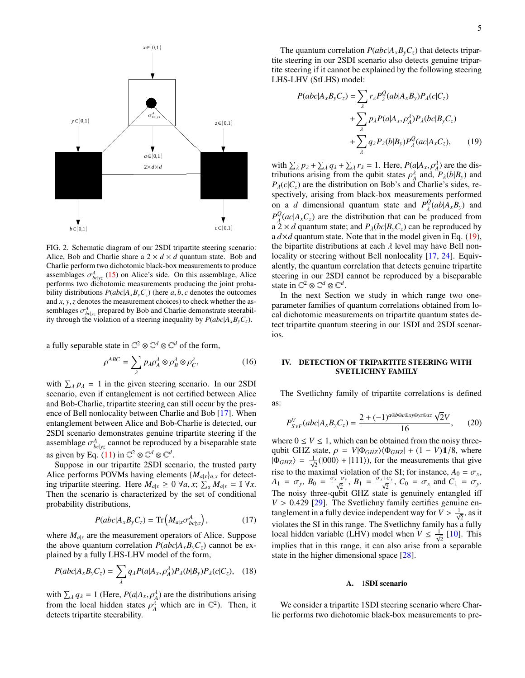

<span id="page-4-1"></span>FIG. 2. Schematic diagram of our 2SDI tripartite steering scenario: Alice, Bob and Charlie share a  $2 \times d \times d$  quantum state. Bob and Charlie perform two dichotomic black-box measurements to produce assemblages  $\sigma_{bc|yz}^A$  [\(15\)](#page-3-3) on Alice's side. On this assemblage, Alice<br>performs two dichotomic measurements producing the joint probaperforms two dichotomic measurements producing the joint probability distributions  $P(abc|A_xB_yC_z)$  (here *a*, *b*, *c* denotes the outcomes and *<sup>x</sup>*, *<sup>y</sup>*,*<sup>z</sup>* denotes the measurement choices) to check whether the assemblages  $\sigma_{bc|yz}^A$  prepared by Bob and Charlie demonstrate steerabil-<br>*ity through the violation of a steering inequality by <i>P(abc*)4, *B* C) ity through the violation of a steering inequality by  $P(abc|A_xB_yC_z)$ .

a fully separable state in  $\mathbb{C}^2 \otimes \mathbb{C}^d \otimes \mathbb{C}^d$  of the form,

$$
\rho^{ABC} = \sum_{\lambda} p_{\lambda} \rho_A^{\lambda} \otimes \rho_B^{\lambda} \otimes \rho_C^{\lambda}, \qquad (16)
$$

with  $\sum_{\lambda} p_{\lambda} = 1$  in the given steering scenario. In our 2SDI<br>scenario, even if entanglement is not certified between Alice scenario, even if entanglement is not certified between Alice and Bob-Charlie, tripartite steering can still occur by the presence of Bell nonlocality between Charlie and Bob [\[17\]](#page-12-13). When entanglement between Alice and Bob-Charlie is detected, our 2SDI scenario demonstrates genuine tripartite steering if the assemblage  $\sigma_{bc|yz}^A$  cannot be reproduced by a biseparable state as given by Eq. [\(11\)](#page-2-2) in  $\mathbb{C}^2 \otimes \mathbb{C}^d \otimes \mathbb{C}^d$ .

Suppose in our tripartite 2SDI scenario, the trusted party Alice performs POVMs having elements  $\{M_{a|x}\}_{a,x}$  for detecting tripartite steering. Here  $M_{a|x} \geq 0$   $\forall a, x; \sum_a M_{a|x} = \mathbb{I} \ \forall x$ .<br>Then the scenario is characterized by the set of conditional Then the scenario is characterized by the set of conditional probability distributions,

$$
P(abc|A_xB_yC_z) = \text{Tr}\left(M_{a|x}\sigma_{bc|yz}^A\right),\tag{17}
$$

where  $M_{a|x}$  are the measurement operators of Alice. Suppose the above quantum correlation  $P(abc|A_xB_yC_z)$  cannot be explained by a fully LHS-LHV model of the form,

$$
P(abc|A_xB_yC_z) = \sum_{\lambda} q_{\lambda}P(a|A_x,\rho_A^{\lambda})P_{\lambda}(b|B_y)P_{\lambda}(c|C_z), \quad (18)
$$

with  $\sum_{\lambda} q_{\lambda} = 1$  (Here,  $P(a|A_{x}, \rho_{A}^{\lambda})$  are the distributions arising from the local hidden states  $\alpha^{A}$  which are in  $\mathbb{C}^{2}$ ). Then it from the local hidden states  $\rho_A^{\lambda}$  which are in  $\mathbb{C}^2$ ). Then, it detects tripartite steerability detects tripartite steerability.

The quantum correlation  $P(abc|A_xB_yC_z)$  that detects tripartite steering in our 2SDI scenario also detects genuine tripartite steering if it cannot be explained by the following steering LHS-LHV (StLHS) model:

<span id="page-4-2"></span>
$$
P(abc|A_xB_yC_z) = \sum_{\lambda} r_{\lambda}P_{\lambda}^Q(ab|A_xB_y)P_{\lambda}(c|C_z)
$$
  
+ 
$$
\sum_{\lambda} p_{\lambda}P(a|A_x, \rho_{\lambda}^{\lambda})P_{\lambda}(bc|B_yC_z)
$$
  
+ 
$$
\sum_{\lambda} q_{\lambda}P_{\lambda}(b|B_y)P_{\lambda}^Q(ac|A_xC_z), \qquad (19)
$$

with  $\sum_{\lambda} p_{\lambda} + \sum_{\lambda} q_{\lambda} + \sum_{\lambda} r_{\lambda} = 1$ . Here,  $P(a|A_x, \rho_A^{\lambda})$  are the distributions arising from the qubit states  $\rho_A^{\lambda}$  and  $P_A(b|R)$  and tributions arising from the qubit states  $\rho_A^A$  and,  $P_A(b|B_y)$  and  $P_A(c|C)$  are the distribution on Bob's and Charlie's sides re- $P_{\lambda}(c|C_{z})$  are the distribution on Bob's and Charlie's sides, respectively, arising from black-box measurements performed on a *d* dimensional quantum state and  $P^Q_{\lambda}(ab|A_xB_y)$  and  $P_{\lambda}^{Q}(ac|A_{x}C_{z})$  are the distribution that can be produced from  $a \tilde{2} \times d$  quantum state; and  $P_{\lambda}(bc|B_{\gamma}C_{z})$  can be reproduced by a  $d \times d$  quantum state. Note that in the model given in Eq. [\(19\)](#page-4-2), the bipartite distributions at each  $\lambda$  level may have Bell non-locality or steering without Bell nonlocality [\[17,](#page-12-13) [24\]](#page-13-0). Equivalently, the quantum correlation that detects genuine tripartite steering in our 2SDI cannot be reproduced by a biseparable state in  $\mathbb{C}^2 \otimes \mathbb{C}^d \otimes \mathbb{C}^d$ .

In the next Section we study in which range two oneparameter families of quantum correlations obtained from local dichotomic measurements on tripartite quantum states detect tripartite quantum steering in our 1SDI and 2SDI scenarios.

### <span id="page-4-0"></span>IV. DETECTION OF TRIPARTITE STEERING WITH SVETLICHNY FAMILY

The Svetlichny family of tripartite correlations is defined as:

<span id="page-4-3"></span>
$$
P_{SvF}^{V}(abc|A_xB_yC_z) = \frac{2 + (-1)^{a \oplus b \oplus c \oplus x y \oplus y z \oplus x z} \sqrt{2}V}{16},
$$
 (20)

where  $0 \le V \le 1$ , which can be obtained from the noisy threequbit GHZ state,  $\rho = V|\Phi_{GHZ}\rangle\langle\Phi_{GHZ}| + (1 - V)1/8$ , where  $|\Phi_{GHZ}\rangle = \frac{1}{\sqrt{2}}(|000\rangle + |111\rangle)$ , for the measurements that give rise to the maximal violation of the SI; for instance,  $A_0 = \sigma_x$ ,<br> $A_1 = \sigma_y$ ,  $B_2 = \frac{\sigma_x + \sigma_y}{\sigma_x}$ ,  $B_3 = \frac{\sigma_x + \sigma_y}{\sigma_y}$ ,  $C_2 = \sigma_y$ , and  $C_1 = \sigma_y$ .  $A_1 = \sigma_y$ ,  $B_0 = \frac{\sigma_x - \sigma_y}{\sqrt{2}}$ ,  $B_1 = \frac{\sigma_x + \sigma_y}{\sqrt{2}}$ ,  $C_0 = \sigma_x$  and  $C_1 = \sigma_y$ .<br>The naisy these subject *CUZ* at the convenient enterpted iff The noisy three-qubit GHZ state is genuinely entangled iff  $V > 0.429$  [\[29\]](#page-13-4). The Svetlichny family certifies genuine entanglement in a fully device independent way for  $V > \frac{1}{\sqrt{2}}$ , as it violates the SI in this range. The Svetlichny family has a fully local hidden variable (LHV) model when  $V \le \frac{1}{\sqrt{2}}$  [\[10\]](#page-12-6). This implies that in this range, it can also arise from a separable state in the higher dimensional space [\[28\]](#page-13-5).

### A. 1SDI scenario

We consider a tripartite 1SDI steering scenario where Charlie performs two dichotomic black-box measurements to pre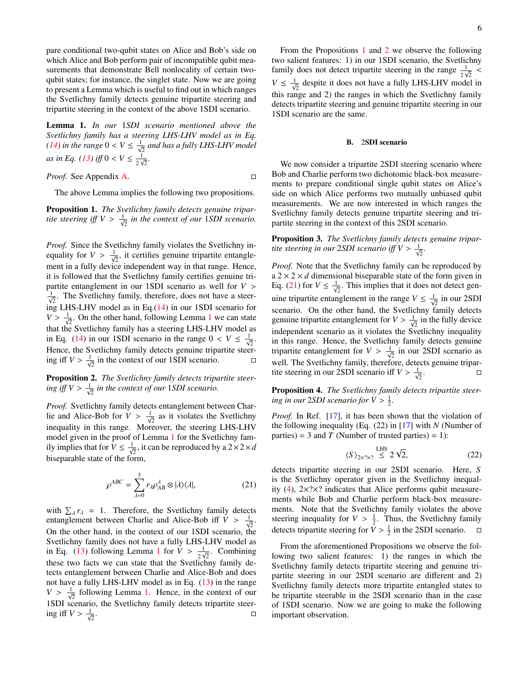pare conditional two-qubit states on Alice and Bob's side on which Alice and Bob perform pair of incompatible qubit measurements that demonstrate Bell nonlocality of certain twoqubit states; for instance, the singlet state. Now we are going to present a Lemma which is useful to find out in which ranges the Svetlichny family detects genuine tripartite steering and tripartite steering in the context of the above 1SDI scenario.

<span id="page-5-0"></span>Lemma 1. *In our* 1*SDI scenario mentioned above the Svetlichny family has a steering LHS-LHV model as in Eq.* [\(14\)](#page-3-2) in the range  $0 < V \leq \frac{1}{\sqrt{2}}$  and has a fully LHS-LHV model *as in Eq. [\(13\)](#page-3-1) iff*  $0 < V \le \frac{1}{2V}$  $rac{1}{2\sqrt{2}}$ .

*Proof.* See Appendix [A.](#page-8-0) □

The above Lemma implies the following two propositions.

<span id="page-5-1"></span>Proposition 1. *The Svetlichny family detects genuine tripartite steering iff*  $V > \frac{1}{\sqrt{2}}$  *in the context of our 1SDI scenario.* 

*Proof.* Since the Svetlichny family violates the Svetlichny inequality for  $V > \frac{1}{\sqrt{2}}$ , it certifies genuine tripartite entangle-<br>ment in a fully day independent way in that games. Hence ment in a fully device independent way in that range. Hence, it is followed that the Svetlichny family certifies genuine tripartite entanglement in our 1SDI scenario as well for *<sup>V</sup>* >  $\frac{1}{\sqrt{2}}$ . The Svetlichny family, therefore, does not have a steering LHS-LHV model as in Eq.[\(14\)](#page-3-2) in our 1SDI scenario for  $V > \frac{1}{\sqrt{2}}$  $V > \frac{1}{\sqrt{2}}$  $V > \frac{1}{\sqrt{2}}$ . On the other hand, following Lemma 1 we can state that the Svetlichny family has a steering LHS-LHV model as in Eq. [\(14\)](#page-3-2) in our 1SDI scenario in the range  $0 < V \leq \frac{1}{\sqrt{2}}$ . Hence, the Svetlichny family detects genuine tripartite steering iff  $V > \frac{1}{\sqrt{2}}$  in the context of our 1SDI scenario.

<span id="page-5-2"></span>Proposition 2. *The Svetlichny family detects tripartite steering* if  $V > \frac{1}{\sqrt{2}}$  *in the context of our 1SDI scenario.* 

*Proof.* Svetlichny family detects entanglement between Charlie and Alice-Bob for  $\dot{V} > \frac{1}{\sqrt{2}}$  as it violates the Svetlichny inequality in this range. Moreover, the steering LHS-LHV model given in the proof of Lemma [1](#page-5-0) for the Svetlichny family implies that for  $\bar{V} \le \frac{1}{\sqrt{2}}$ , it can be reproduced by a  $2 \times 2 \times d$ biseparable state of the form,

<span id="page-5-3"></span>
$$
\rho^{ABC} = \sum_{\lambda=0}^{3} r_{\lambda} \rho_{AB}^{\lambda} \otimes |\lambda\rangle\langle\lambda|, \tag{21}
$$

with  $\sum_{\lambda} r_{\lambda} = 1$ . Therefore, the Svetlichny family detects entanglement between Charlie and Alice-Bob iff  $\overline{V} > \frac{1}{\sqrt{2}}$ . On the other hand, in the context of our 1SDI scenario, the Svetlichny family does not have a fully LHS-LHV model as in Eq. [\(13\)](#page-3-1) following Lemma [1](#page-5-0) for  $V > \frac{1}{2}$ <br>these two fects we can state that the System  $\frac{1}{2\sqrt{2}}$ . Combining these two facts we can state that the Svetlichny family detects entanglement between Charlie and Alice-Bob and does not have a fully LHS-LHV model as in Eq. [\(13\)](#page-3-1) in the range  $V > \frac{1}{\sqrt{2}}$  following Lemma [1.](#page-5-0) Hence, in the context of our 1SDI scenario, the Svetlichny family detects tripartite steering iff  $V > \frac{1}{\sqrt{2}}$ . Видео в село в село в село в село в село в село в село в село в село в село в село в село в село в<br>Село в село в село в село в село в село в село в село в село в село в село в село в село в село в село в село

From the Propositions [1](#page-5-1) and [2](#page-5-2) we observe the following two salient features: 1) in our 1SDI scenario, the Svetlichny family does not detect tripartite steering in the range  $\frac{1}{2\sqrt{2}}$  $V \leq \frac{1}{\sqrt{2}}$  despite it does not have a fully LHS-LHV model in this range and 2) the ranges in which the Svetlichny family detects tripartite steering and genuine tripartite steering in our 1SDI scenario are the same.

#### B. 2SDI scenario

We now consider a tripartite 2SDI steering scenario where Bob and Charlie perform two dichotomic black-box measurements to prepare conditional single qubit states on Alice's side on which Alice performs two mutually unbiased qubit measurements. We are now interested in which ranges the Svetlichny family detects genuine tripartite steering and tripartite steering in the context of this 2SDI scenario.

Proposition 3. *The Svetlichny family detects genuine tripartite steering in our 2SDI scenario iff*  $V > \frac{1}{\sqrt{2}}$ *.* 

*Proof.* Note that the Svetlichny family can be reproduced by  $a$  2  $\times$  2  $\times$  *d* dimensional biseparable state of the form given in Eq. [\(21\)](#page-5-3) for  $V \le \frac{1}{\sqrt{2}}$ . This implies that it does not detect genuine tripartite entanglement in the range  $V \leq \frac{1}{\sqrt{2}}$  in our 2SDI scenario. On the other hand, the Svetlichny family detects genuine tripartite entanglement for  $V > \frac{1}{\sqrt{2}}$  in the fully device independent scenario as it violates the Svetlichny inequality in this range. Hence, the Svetlichny family detects genuine tripartite entanglement for  $V > \frac{1}{\sqrt{2}}$  in our 2SDI scenario as well. The Svetlichny family, therefore, detects genuine tripartite steering in our 2SDI scenario iff  $V > \frac{1}{\sqrt{2}}$ .

Proposition 4. *The Svetlichny family detects tripartite steering in our 2SDI scenario for*  $V > \frac{1}{2}$ *.* 

*Proof.* In Ref. [\[17\]](#page-12-13), it has been shown that the violation of the following inequality (Eq. (22) in [\[17\]](#page-12-13) with *N* (Number of parties) = 3 and *T* (Number of trusted parties) = 1):

<span id="page-5-4"></span>
$$
\langle S \rangle_{2 \times ? \times ?} \stackrel{\text{LHS}}{\leq} 2 \sqrt{2}, \tag{22}
$$

detects tripartite steering in our 2SDI scenario. Here, *S* is the Svetlichny operator given in the Svetlichny inequality  $(4)$ ,  $2\times$ ? $\times$ ? indicates that Alice performs qubit measurements while Bob and Charlie perform black-box measurements. Note that the Svetlichny family violates the above steering inequality for  $V > \frac{1}{2}$ . Thus, the Svetlichny family detects tripartite steering for  $\overline{V} > \frac{1}{2}$  in the 2SDI scenario.  $\Box$ 

From the aforementioned Propositions we observe the following two salient features: 1) the ranges in which the Svetlichny family detects tripartite steering and genuine tripartite steering in our 2SDI scenario are different and 2) Svetlichny family detects more tripartite entangled states to be tripartite steerable in the 2SDI scenario than in the case of 1SDI scenario. Now we are going to make the following important observation.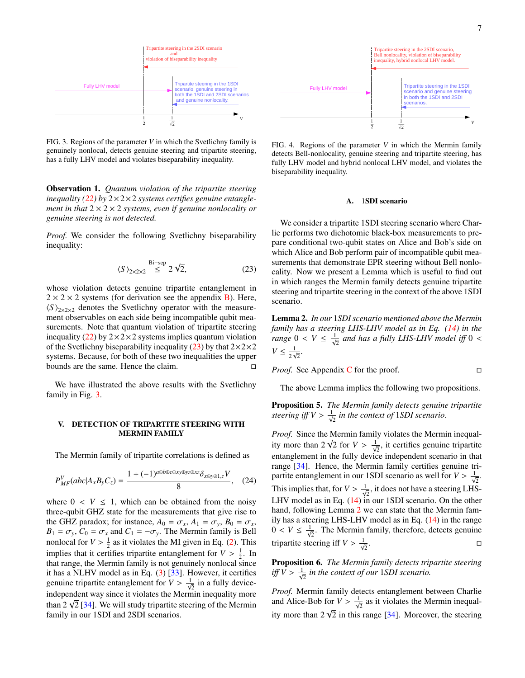

<span id="page-6-2"></span>FIG. 3. Regions of the parameter *V* in which the Svetlichny family is genuinely nonlocal, detects genuine steering and tripartite steering, has a fully LHV model and violates biseparability inequality.

Observation 1. *Quantum violation of the tripartite steering inequality [\(22\)](#page-5-4) by* 2×2×2 *systems certifies genuine entanglement in that*  $2 \times 2 \times 2$  *systems, even if genuine nonlocality or genuine steering is not detected.*

*Proof.* We consider the following Svetlichny biseparability inequality:

<span id="page-6-1"></span>
$$
\langle S \rangle_{2 \times 2 \times 2} \stackrel{\text{Bi-sep}}{\leq} 2 \sqrt{2},\tag{23}
$$

whose violation detects genuine tripartite entanglement in  $2 \times 2 \times 2$  systems (for derivation see the appendix **B**). Here,  $\langle S \rangle_{2 \times 2 \times 2}$  denotes the Svetlichny operator with the measurement observables on each side being incompatible qubit measurements. Note that quantum violation of tripartite steering inequality [\(22\)](#page-5-4) by  $2 \times 2 \times 2$  systems implies quantum violation of the Svetlichny biseparability inequality [\(23\)](#page-6-1) by that  $2 \times 2 \times 2$ systems. Because, for both of these two inequalities the upper bounds are the same. Hence the claim.

We have illustrated the above results with the Svetlichny family in Fig. [3.](#page-6-2)

#### <span id="page-6-0"></span>V. DETECTION OF TRIPARTITE STEERING WITH MERMIN FAMILY

The Mermin family of tripartite correlations is defined as

<span id="page-6-7"></span>
$$
P_{MF}^{V}(abc|A_xB_yC_z) = \frac{1 + (-1)^{a \oplus b \oplus c \oplus xy \oplus yz \oplus xz} \delta_{x \oplus y \oplus 1,z} V}{8}, \quad (24)
$$

where  $0 \lt V \leq 1$ , which can be obtained from the noisy three-qubit GHZ state for the measurements that give rise to the GHZ paradox; for instance,  $A_0 = \sigma_x$ ,  $A_1 = \sigma_y$ ,  $B_0 = \sigma_x$ ,  $B_1 = \sigma_y$ ,  $C_0 = \sigma_x$  and  $C_1 = -\sigma_y$ . The Mermin family is Bell nonlocal for  $V > \frac{1}{2}$  as it violates the MI given in Eq. [\(2\)](#page-1-3). This implies that it certifies tripartite entanglement for  $V > \frac{1}{2}$ . In that range the Mermin family is not genuinely nonlocal since that range, the Mermin family is not genuinely nonlocal since it has a NLHV model as in Eq. [\(3\)](#page-1-4) [\[33\]](#page-13-6). However, it certifies genuine tripartite entanglement for  $V > \frac{1}{\sqrt{2}}$  in a fully device-<br>independent way since it violates the Margin inequality more independent way since it violates the Mermin inequality more maependent way since it violates the Mermin inequality more<br>than  $2\sqrt{2}$  [\[34\]](#page-13-7). We will study tripartite steering of the Mermin family in our 1SDI and 2SDI scenarios.



<span id="page-6-6"></span>FIG. 4. Regions of the parameter *V* in which the Mermin family detects Bell-nonlocality, genuine steering and tripartite steering, has fully LHV model and hybrid nonlocal LHV model, and violates the biseparability inequality.

## A. 1SDI scenario

We consider a tripartite 1SDI steering scenario where Charlie performs two dichotomic black-box measurements to prepare conditional two-qubit states on Alice and Bob's side on which Alice and Bob perform pair of incompatible qubit measurements that demonstrate EPR steering without Bell nonlocality. Now we present a Lemma which is useful to find out in which ranges the Mermin family detects genuine tripartite steering and tripartite steering in the context of the above 1SDI scenario.

<span id="page-6-3"></span>Lemma 2. *In our* 1*SDI scenario mentioned above the Mermin family has a steering LHS-LHV model as in Eq. [\(14\)](#page-3-2) in the range*  $0 < V \le \frac{1}{\sqrt{2}}$  *and has a fully LHS-LHV model iff*  $0 <$  $V \leq \frac{1}{24}$  $rac{1}{2\sqrt{2}}$ .

*Proof.* See Appendix [C](#page-11-0) for the proof.

The above Lemma implies the following two propositions.

<span id="page-6-4"></span>Proposition 5. *The Mermin family detects genuine tripartite steering iff*  $V > \frac{1}{\sqrt{2}}$  *in the context of* 1*SDI scenario.* 

*Proof.* Since the Mermin family violates the Mermin inequal-*Proof.* Since the Mermin family violates the Mermin inequality more than  $2\sqrt{2}$  for  $V > \frac{1}{\sqrt{2}}$ , it certifies genuine tripartite entanglament in the fully days independent consists in that entanglement in the fully device independent scenario in that range [\[34\]](#page-13-7). Hence, the Mermin family certifies genuine tripartite entanglement in our 1SDI scenario as well for  $V > \frac{1}{\sqrt{2}}$ . This implies that, for  $V > \frac{1}{\sqrt{2}}$ , it does not have a steering LHS-<br>LHV model as in Eq. (14) in our 1SDL seenario. On the other LHV model as in Eq. [\(14\)](#page-3-2) in our 1SDI scenario. On the other hand, following Lemma [2](#page-6-3) we can state that the Mermin family has a steering LHS-LHV model as in Eq. [\(14\)](#page-3-2) in the range  $0 < V \leq \frac{1}{\sqrt{2}}$ . The Mermin family, therefore, detects genuine tripartite steering iff  $V > \frac{1}{\sqrt{2}}$ . В последните постаните на приема на производите се приема на приема на приема на приема на приема на приема<br>В постаните постаните на приема на приема на приема на приема на приема на приема на приема на приема на прием<br>

<span id="page-6-5"></span>Proposition 6. *The Mermin family detects tripartite steering iff*  $V > \frac{1}{\sqrt{2}}$  *in the context of our 1SDI scenario.* 

*Proof.* Mermin family detects entanglement between Charlie and Alice-Bob for  $V > \frac{1}{\sqrt{2}}$  as it violates the Mermin inequality more than  $2\sqrt{2}$  in this range [\[34\]](#page-13-7). Moreover, the steering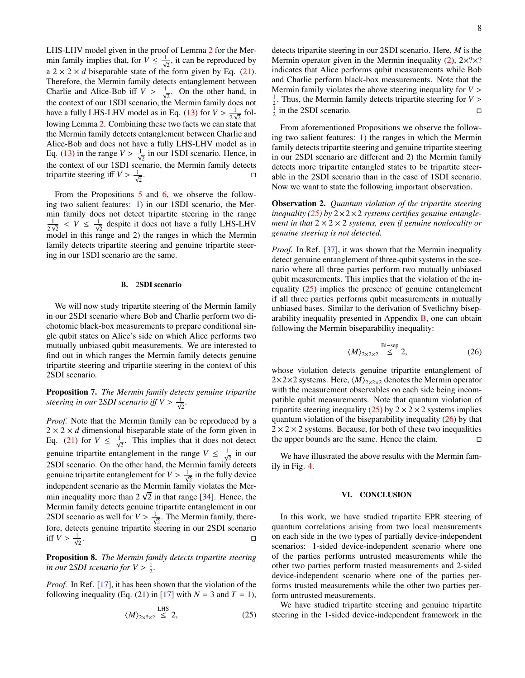LHS-LHV model given in the proof of Lemma [2](#page-6-3) for the Mermin family implies that, for  $V \leq \frac{1}{\sqrt{2}}$ , it can be reproduced by a  $2 \times 2 \times d$  biseparable state of the form given by Eq. [\(21\)](#page-5-3). Therefore, the Mermin family detects entanglement between Charlie and Alice-Bob iff  $V > \frac{1}{\sqrt{2}}$ . On the other hand, in the context of our 1SDI scenario, the Mermin family does not have a fully LHS-LHV model as in Eq. [\(13\)](#page-3-1) for  $V > \frac{1}{2}$ <br>lowing Lamma 2. Combining these two facts we can also  $rac{1}{2\sqrt{2}}$  following Lemma [2.](#page-6-3) Combining these two facts we can state that the Mermin family detects entanglement between Charlie and Alice-Bob and does not have a fully LHS-LHV model as in Eq. [\(13\)](#page-3-1) in the range  $V > \frac{1}{\sqrt{2}}$  in our 1SDI scenario. Hence, in the context of our 1SDI scenario, the Mermin family detects tripartite steering iff  $V > \frac{1}{\sqrt{2}}$ . Видео в последници и последници и производите в село в село в село в село в село в село в село в село в село<br>В село в село в село в село в село в село в село в село в село в село в село в село в село в село в село в се<br>

From the Propositions [5](#page-6-4) and [6,](#page-6-5) we observe the following two salient features: 1) in our 1SDI scenario, the Mermin family does not detect tripartite steering in the range 1  $\frac{1}{2\sqrt{2}} < V \leq \frac{1}{\sqrt{2}}$  despite it does not have a fully LHS-LHV model in this range and 2) the ranges in which the Mermin family detects tripartite steering and genuine tripartite steering in our 1SDI scenario are the same.

#### B. 2SDI scenario

We will now study tripartite steering of the Mermin family in our 2SDI scenario where Bob and Charlie perform two dichotomic black-box measurements to prepare conditional single qubit states on Alice's side on which Alice performs two mutually unbiased qubit measurements. We are interested to find out in which ranges the Mermin family detects genuine tripartite steering and tripartite steering in the context of this 2SDI scenario.

Proposition 7. *The Mermin family detects genuine tripartite steering in our 2SDI scenario iff*  $V > \frac{1}{\sqrt{2}}$ *.* 

*Proof.* Note that the Mermin family can be reproduced by a  $2 \times 2 \times d$  dimensional biseparable state of the form given in Eq. [\(21\)](#page-5-3) for  $V \leq \frac{1}{\sqrt{2}}$ . This implies that it does not detect genuine tripartite entanglement in the range  $V \leq \frac{1}{\sqrt{2}}$  in our 2SDI scenario. On the other hand, the Mermin family detects genuine tripartite entanglement for  $V > \frac{1}{\sqrt{2}}$  in the fully device independent scenario as the Mermin family violates the Mermaependent scenario as the Mermin ramity violates the Mermin inequality more than  $2\sqrt{2}$  in that range [\[34\]](#page-13-7). Hence, the Mermin family detects genuine tripartite entanglement in our 2SDI scenario as well for  $V > \frac{1}{\sqrt{2}}$ . The Mermin family, there-<br>fore, datasts gaming triportite assume in our 2SDI scenario fore, detects genuine tripartite steering in our 2SDI scenario iff  $V > \frac{1}{\sqrt{2}}$ . В последните последните последните последните последните последните последните последните последните последн<br>Село в последните последните последните последните последните последните последните последните последните посл

Proposition 8. *The Mermin family detects tripartite steering in our 2SDI scenario for*  $V > \frac{1}{2}$ *.* 

*Proof.* In Ref. [\[17\]](#page-12-13), it has been shown that the violation of the following inequality (Eq. (21) in [\[17\]](#page-12-13) with  $N = 3$  and  $T = 1$ ),

 $\overline{L}$ 

<span id="page-7-1"></span>
$$
\langle M \rangle_{2 \times ? \times ?} \stackrel{\text{LHS}}{\leq} 2, \tag{25}
$$

detects tripartite steering in our 2SDI scenario. Here, *M* is the Mermin operator given in the Mermin inequality  $(2)$ ,  $2 \times ? \times ?$ indicates that Alice performs qubit measurements while Bob and Charlie perform black-box measurements. Note that the Mermin family violates the above steering inequality for *<sup>V</sup>* >  $\frac{1}{2}$ . Thus, the Mermin family detects tripartite steering for *V* >  $\frac{1}{2}$  in the 2SDI security  $\frac{1}{2}$  in the 2SDI scenario.

From aforementioned Propositions we observe the following two salient features: 1) the ranges in which the Mermin family detects tripartite steering and genuine tripartite steering in our 2SDI scenario are different and 2) the Mermin family detects more tripartite entangled states to be tripartite steerable in the 2SDI scenario than in the case of 1SDI scenario. Now we want to state the following important observation.

Observation 2. *Quantum violation of the tripartite steering inequality [\(25\)](#page-7-1) by*  $2 \times 2 \times 2$  *systems certifies genuine entanglement in that* 2 × 2 × 2 *systems, even if genuine nonlocality or genuine steering is not detected.*

*Proof.* In Ref. [\[37\]](#page-13-8), it was shown that the Mermin inequality detect genuine entanglement of three-qubit systems in the scenario where all three parties perform two mutually unbiased qubit measurements. This implies that the violation of the inequality [\(25\)](#page-7-1) implies the presence of genuine entanglement if all three parties performs qubit measurements in mutually unbiased bases. Similar to the derivation of Svetlichny biseparability inequality presented in Appendix [B,](#page-10-0) one can obtain following the Mermin biseparability inequality:

<span id="page-7-2"></span>
$$
\langle M \rangle_{2 \times 2 \times 2} \stackrel{\text{Bi-sep}}{\leq} 2, \tag{26}
$$

whose violation detects genuine tripartite entanglement of  $2\times2\times2$  systems. Here,  $\langle M \rangle_{2\times2\times2}$  denotes the Mermin operator with the measurement observables on each side being incompatible qubit measurements. Note that quantum violation of tripartite steering inequality [\(25\)](#page-7-1) by  $2 \times 2 \times 2$  systems implies quantum violation of the biseparability inequality [\(26\)](#page-7-2) by that  $2 \times 2 \times 2$  systems. Because, for both of these two inequalities the upper bounds are the same. Hence the claim.

We have illustrated the above results with the Mermin family in Fig. [4.](#page-6-6)

#### <span id="page-7-0"></span>VI. CONCLUSION

In this work, we have studied tripartite EPR steering of quantum correlations arising from two local measurements on each side in the two types of partially device-independent scenarios: 1-sided device-independent scenario where one of the parties performs untrusted measurements while the other two parties perform trusted measurements and 2-sided device-independent scenario where one of the parties performs trusted measurements while the other two parties perform untrusted measurements.

We have studied tripartite steering and genuine tripartite steering in the 1-sided device-independent framework in the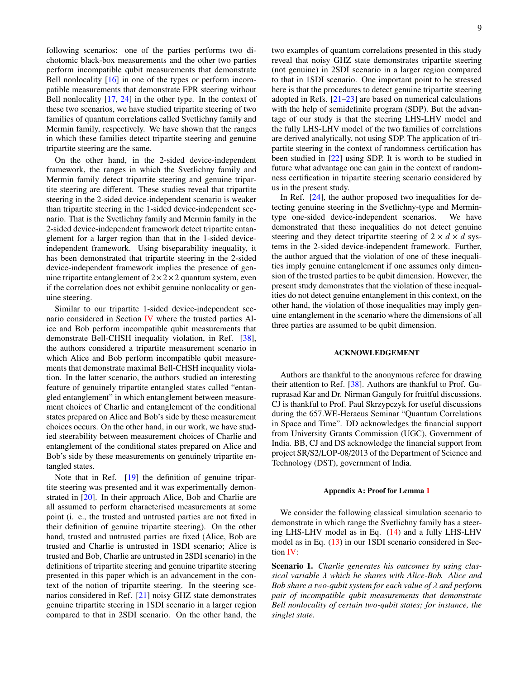following scenarios: one of the parties performs two dichotomic black-box measurements and the other two parties perform incompatible qubit measurements that demonstrate Bell nonlocality [\[16\]](#page-12-20) in one of the types or perform incompatible measurements that demonstrate EPR steering without Bell nonlocality [\[17,](#page-12-13) [24\]](#page-13-0) in the other type. In the context of these two scenarios, we have studied tripartite steering of two families of quantum correlations called Svetlichny family and Mermin family, respectively. We have shown that the ranges in which these families detect tripartite steering and genuine tripartite steering are the same.

On the other hand, in the 2-sided device-independent framework, the ranges in which the Svetlichny family and Mermin family detect tripartite steering and genuine tripartite steering are different. These studies reveal that tripartite steering in the 2-sided device-independent scenario is weaker than tripartite steering in the 1-sided device-independent scenario. That is the Svetlichny family and Mermin family in the 2-sided device-independent framework detect tripartite entanglement for a larger region than that in the 1-sided deviceindependent framework. Using biseparability inequality, it has been demonstrated that tripartite steering in the 2-sided device-independent framework implies the presence of genuine tripartite entanglement of  $2 \times 2 \times 2$  quantum system, even if the correlation does not exhibit genuine nonlocality or genuine steering.

Similar to our tripartite 1-sided device-independent scenario considered in Section [IV](#page-4-0) where the trusted parties Alice and Bob perform incompatible qubit measurements that demonstrate Bell-CHSH inequality violation, in Ref. [\[38\]](#page-13-9), the authors considered a tripartite measurement scenario in which Alice and Bob perform incompatible qubit measurements that demonstrate maximal Bell-CHSH inequality violation. In the latter scenario, the authors studied an interesting feature of genuinely tripartite entangled states called "entangled entanglement" in which entanglement between measurement choices of Charlie and entanglement of the conditional states prepared on Alice and Bob's side by these measurement choices occurs. On the other hand, in our work, we have studied steerability between measurement choices of Charlie and entanglement of the conditional states prepared on Alice and Bob's side by these measurements on genuinely tripartite entangled states.

Note that in Ref. [\[19\]](#page-12-15) the definition of genuine tripartite steering was presented and it was experimentally demonstrated in [\[20\]](#page-12-16). In their approach Alice, Bob and Charlie are all assumed to perform characterised measurements at some point (i. e., the trusted and untrusted parties are not fixed in their definition of genuine tripartite steering). On the other hand, trusted and untrusted parties are fixed (Alice, Bob are trusted and Charlie is untrusted in 1SDI scenario; Alice is trusted and Bob, Charlie are untrusted in 2SDI scenario) in the definitions of tripartite steering and genuine tripartite steering presented in this paper which is an advancement in the context of the notion of tripartite steering. In the steering scenarios considered in Ref. [\[21\]](#page-12-17) noisy GHZ state demonstrates genuine tripartite steering in 1SDI scenario in a larger region compared to that in 2SDI scenario. On the other hand, the two examples of quantum correlations presented in this study reveal that noisy GHZ state demonstrates tripartite steering (not genuine) in 2SDI scenario in a larger region compared to that in 1SDI scenario. One important point to be stressed here is that the procedures to detect genuine tripartite steering adopted in Refs. [\[21–](#page-12-17)[23\]](#page-12-19) are based on numerical calculations with the help of semidefinite program (SDP). But the advantage of our study is that the steering LHS-LHV model and the fully LHS-LHV model of the two families of correlations are derived analytically, not using SDP. The application of tripartite steering in the context of randomness certification has been studied in [\[22\]](#page-12-18) using SDP. It is worth to be studied in future what advantage one can gain in the context of randomness certification in tripartite steering scenario considered by us in the present study.

In Ref. [\[24\]](#page-13-0), the author proposed two inequalities for detecting genuine steering in the Svetlichny-type and Mermintype one-sided device-independent scenarios. We have demonstrated that these inequalities do not detect genuine steering and they detect tripartite steering of  $2 \times d \times d$  systems in the 2-sided device-independent framework. Further, the author argued that the violation of one of these inequalities imply genuine entanglement if one assumes only dimension of the trusted parties to be qubit dimension. However, the present study demonstrates that the violation of these inequalities do not detect genuine entanglement in this context, on the other hand, the violation of those inequalities may imply genuine entanglement in the scenario where the dimensions of all three parties are assumed to be qubit dimension.

## ACKNOWLEDGEMENT

Authors are thankful to the anonymous referee for drawing their attention to Ref. [\[38\]](#page-13-9). Authors are thankful to Prof. Guruprasad Kar and Dr. Nirman Ganguly for fruitful discussions. CJ is thankful to Prof. Paul Skrzypczyk for useful discussions during the 657.WE-Heraeus Seminar "Quantum Correlations in Space and Time". DD acknowledges the financial support from University Grants Commission (UGC), Government of India. BB, CJ and DS acknowledge the financial support from project SR/S2/LOP-08/2013 of the Department of Science and Technology (DST), government of India.

#### <span id="page-8-0"></span>Appendix A: Proof for Lemma [1](#page-5-0)

We consider the following classical simulation scenario to demonstrate in which range the Svetlichny family has a steering LHS-LHV model as in Eq. [\(14\)](#page-3-2) and a fully LHS-LHV model as in Eq. [\(13\)](#page-3-1) in our 1SDI scenario considered in Section [IV:](#page-4-0)

<span id="page-8-1"></span>Scenario 1. *Charlie generates his outcomes by using classical variable* λ *which he shares with Alice-Bob. Alice and Bob share a two-qubit system for each value of* λ *and perform pair of incompatible qubit measurements that demonstrate Bell nonlocality of certain two-qubit states; for instance, the singlet state.*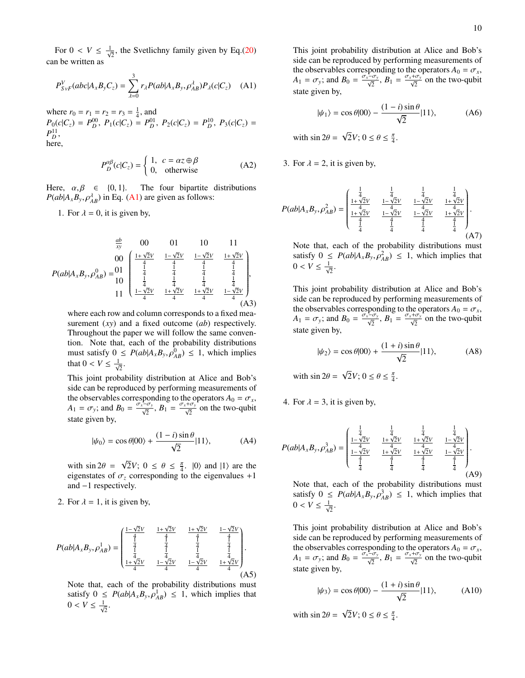For  $0 < V \le \frac{1}{\sqrt{2}}$ , the Svetlichny family given by Eq.[\(20\)](#page-4-3) can be written as

<span id="page-9-0"></span>
$$
P_{SvF}^{V}(abc|A_xB_yC_z) = \sum_{\lambda=0}^{3} r_{\lambda}P(ab|A_xB_y, \rho_{AB}^{\lambda})P_{\lambda}(c|C_z)
$$
 (A1)

where  $r_0 = r_1 = r_2 = r_3 = \frac{1}{4}$ , and  $P_0(c|C_z) = P_D^{00}$ ,  $P_1(c|C_z) = P_D^{01}$ ,  $P_2(c|C_z) = P_D^{10}$ ,  $P_3(c|C_z) =$  $P_D^{11}$ here,

$$
P_D^{\alpha\beta}(c|C_z) = \begin{cases} 1, & c = \alpha z \oplus \beta \\ 0, & \text{otherwise} \end{cases}
$$
 (A2)

Here,  $\alpha, \beta \in \{0, 1\}$ . The four bipartite distributions  $P(ab|A_xB_y, \rho_{AB}^A)$  in Eq. [\(A1\)](#page-9-0) are given as follows:

1. For  $\lambda = 0$ , it is given by,

$$
P(ab|A_xB_y, \rho_{AB}^0) = \begin{array}{ccc} \frac{ab}{xy} & 00 & 01 & 10 & 11\\ 0 & \frac{1+\sqrt{2}V}{4} & \frac{1-\sqrt{2}V}{4} & \frac{1-\sqrt{2}V}{4} & \frac{1+\sqrt{2}V}{4}\\ 10 & \frac{1}{4} & \frac{1}{4} & \frac{1}{4} & \frac{1}{4}\\ \frac{1-\sqrt{2}V}{4} & \frac{1+\sqrt{2}V}{4} & \frac{1+\sqrt{2}V}{4} & \frac{1-\sqrt{2}V}{4}\\ \frac{1-\sqrt{2}V}{4} & \frac{1+\sqrt{2}V}{4} & \frac{1+\sqrt{2}V}{4} & \frac{1-\sqrt{2}V}{4}\\ \end{array}
$$

where each row and column corresponds to a fixed measurement (*xy*) and a fixed outcome (*ab*) respectively. Throughout the paper we will follow the same convention. Note that, each of the probability distributions must satisfy  $0 \leq P(ab|A_xB_y, \rho_{AB}^0) \leq 1$ , which implies that  $0 < V \leq \frac{1}{\sqrt{2}}$ .

This joint probability distribution at Alice and Bob's side can be reproduced by performing measurements of the observables corresponding to the operators  $A_0 = \sigma_x$ ,<br>  $A_1 = \sigma_x$  and  $B_2 = \frac{\sigma_x + \sigma_y}{\sigma_x}$   $B_1 = \frac{\sigma_x + \sigma_y}{\sigma_x}$  on the two-qubit  $A_1 = \sigma_y$ ; and  $B_0 = \frac{\sigma_x - \sigma_y}{\sqrt{2}}$ ,  $B_1 = \frac{\sigma_x + \sigma_y}{\sqrt{2}}$  on the two-qubit state given by,

$$
|\psi_0\rangle = \cos\theta|00\rangle + \frac{(1-i)\sin\theta}{\sqrt{2}}|11\rangle, \tag{A4}
$$

with  $\sin 2\theta =$ eigenstates of √ 2*V*;  $0 \le \theta \le \frac{\pi}{4}$ .  $|0\rangle$  and  $|1\rangle$  are the corresponding to the ejgenvalues +1 eigenstates of  $\sigma_z$  corresponding to the eigenvalues +1 and −1 respectively.

2. For  $\lambda = 1$ , it is given by,

$$
P(ab|A_xB_y, \rho_{AB}^1) = \begin{pmatrix} \frac{1-\sqrt{2}V}{\frac{4}{4}} & \frac{1+\sqrt{2}V}{\frac{4}{4}} & \frac{1+\sqrt{2}V}{\frac{4}{4}} & \frac{1-\sqrt{2}V}{\frac{4}{4}}\\ \frac{1}{4} & \frac{1}{4} & \frac{1}{4} & \frac{1}{4}\\ \frac{1+\sqrt{2}V}{4} & \frac{1-\sqrt{2}V}{4} & \frac{1-\sqrt{2}V}{4} & \frac{1+\sqrt{2}V}{4} \end{pmatrix}.
$$
\n(A5)

Note that, each of the probability distributions must satisfy  $0 \leq P(ab|A_xB_y, \rho_{AB}^1) \leq 1$ , which implies that  $0 < V \leq \frac{1}{\sqrt{2}}.$ 

This joint probability distribution at Alice and Bob's side can be reproduced by performing measurements of the observables corresponding to the operators  $A_0 = \sigma_x$ ,<br> $A_1 = \sigma_x$ ; and  $B_0 = \frac{\sigma_x + \sigma_y}{\sigma_x}$   $B_1 = \frac{\sigma_x + \sigma_y}{\sigma_x}$  on the two-qubit  $A_1 = \sigma_y$ ; and  $B_0 = \frac{\sigma_x - \sigma_y}{\sqrt{2}}$ ,  $B_1 = \frac{\sigma_x + \sigma_y}{\sqrt{2}}$  on the two-qubit state given by,

$$
|\psi_1\rangle = \cos\theta|00\rangle - \frac{(1-i)\sin\theta}{\sqrt{2}}|11\rangle, \tag{A6}
$$

with  $\sin 2\theta =$ √  $2V; 0 \leq \theta \leq \frac{\pi}{4}.$ 

3. For 
$$
\lambda = 2
$$
, it is given by,

$$
P(ab|A_xB_y, \rho^2_{AB}) = \begin{pmatrix} \frac{1}{4} & \frac{1}{4} & \frac{1}{4} & \frac{1}{4} \\ \frac{1+\sqrt{2}V}{4} & \frac{1-\sqrt{2}V}{4} & \frac{1-\sqrt{2}V}{4} & \frac{1+\sqrt{2}V}{4} \\ \frac{1+\sqrt{2}V}{4} & \frac{1-\sqrt{2}V}{4} & \frac{1-\sqrt{2}V}{4} & \frac{1+\sqrt{2}V}{4} \\ \frac{1}{4} & \frac{1}{4} & \frac{1}{4} & \frac{1}{4} \end{pmatrix} .
$$
 (A7)

Note that, each of the probability distributions must satisfy  $0 \leq P(ab|A_xB_y, \rho_{AB}^2) \leq 1$ , which implies that  $0 < V \leq \frac{1}{\sqrt{2}}.$ 

This joint probability distribution at Alice and Bob's side can be reproduced by performing measurements of the observables corresponding to the operators  $A_0 = \sigma_x$ ,<br>  $A_1 = \sigma_x$  and  $B_2 = \frac{\sigma_x + \sigma_y}{\sigma_x}$   $B_1 = \frac{\sigma_x + \sigma_y}{\sigma_x}$  on the two-qubit  $A_1 = \sigma_y$ ; and  $B_0 = \frac{\sigma_x - \sigma_y}{\sqrt{2}}$ ,  $B_1 = \frac{\sigma_x + \sigma_y}{\sqrt{2}}$  on the two-qubit state given by,

$$
|\psi_2\rangle = \cos\theta|00\rangle + \frac{(1+i)\sin\theta}{\sqrt{2}}|11\rangle, \tag{A8}
$$

with  $\sin 2\theta =$ √  $2V; 0 \leq \theta \leq \frac{\pi}{4}.$ 

4. For  $\lambda = 3$ , it is given by,

$$
P(ab|A_xB_y, \rho_{AB}^3) = \begin{pmatrix} \frac{1}{4} & \frac{1}{4} & \frac{1}{4} & \frac{1}{4} \\ \frac{1-\sqrt{2}V}{4} & \frac{1+\sqrt{2}V}{4} & \frac{1+\sqrt{2}V}{4} & \frac{1-\sqrt{2}V}{4} \\ \frac{1-\sqrt{2}V}{4} & \frac{1+\sqrt{2}V}{4} & \frac{1+\sqrt{2}V}{4} & \frac{1-\sqrt{2}V}{4} \\ \frac{1}{4} & \frac{1}{4} & \frac{1}{4} & \frac{1}{4} \end{pmatrix} .
$$
\n(A9)

Note that, each of the probability distributions must satisfy  $0 \leq P(ab|A_xB_y, \rho_{AB}^3) \leq 1$ , which implies that  $0 < V \leq \frac{1}{\sqrt{2}}.$ 

This joint probability distribution at Alice and Bob's side can be reproduced by performing measurements of the observables corresponding to the operators  $A_0 = \sigma_x$ ,<br>  $A_1 = \sigma_x$  and  $B_2 = \frac{\sigma_x + \sigma_y}{\sigma_x}$   $B_1 = \frac{\sigma_x + \sigma_y}{\sigma_x}$  on the two-qubit  $A_1 = \sigma_y$ ; and  $B_0 = \frac{\sigma_x - \sigma_y}{\sqrt{2}}$ ,  $B_1 = \frac{\sigma_x + \sigma_y}{\sqrt{2}}$  on the two-qubit state given by,

$$
|\psi_3\rangle = \cos\theta|00\rangle - \frac{(1+i)\sin\theta}{\sqrt{2}}|11\rangle, \tag{A10}
$$

with  $\sin 2\theta =$ √  $2V; 0 \leq \theta \leq \frac{\pi}{4}.$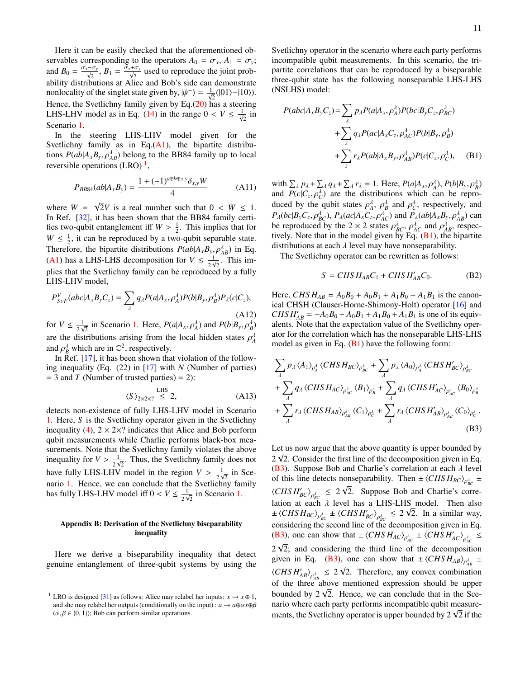Here it can be easily checked that the aforementioned observables corresponding to the operators  $A_0 = \sigma_x$ ,  $A_1 = \sigma_y$ ; and  $B_0 = \frac{\sigma_x - \sigma_y}{\sqrt{2}}$ ,  $B_1 = \frac{\sigma_x + \sigma_y}{\sqrt{2}}$  used to reproduce the joint probability distributions at Alice and Bob's side can demonstrate nonlocality of the singlet state given by,  $|\psi^{-}\rangle = \frac{1}{\sqrt{2}}(|01\rangle - |10\rangle)$ .<br>Hance, the Systlichny family given by Eq. (20) has a stagging Hence, the Svetlichny family given by Eq.[\(20\)](#page-4-3) has a steering LHS-LHV model as in Eq. [\(14\)](#page-3-2) in the range  $0 < V \le \frac{1}{\sqrt{2}}$  in Scenario [1.](#page-8-1)

In the steering LHS-LHV model given for the Svetlichny family as in Eq. $(A1)$ , the bipartite distributions  $P(ab|A_xB_y, \rho_{AB}^A)$  belong to the BB84 family up to local reversible operations (LBO) <sup>1</sup> reversible operations  $(LRO)^1$  $(LRO)^1$ ,

$$
P_{BB84}(ab|A_xB_y) = \frac{1 + (-1)^{a \oplus b \oplus x, y} \delta_{x,y} W}{4}
$$
 (A11)

where  $W =$ √ 2*V* is a real number such that  $0 < W \leq 1$ . In Ref. [\[32\]](#page-13-10), it has been shown that the BB84 family certifies two-qubit entanglement iff  $W > \frac{1}{2}$ . This implies that for  $W > 1$  it can be reproduced by a two qubit separable state.  $W \leq \frac{1}{2}$ , it can be reproduced by a two-qubit separable state. Therefore, the bipartite distributions  $P(ab|A_xB_y, \rho^A_{AB})$  in Eq. (A1) has a LHS 1HS decomposition for  $V < \frac{1}{\rho}$ . This im [\(A1\)](#page-9-0) has a LHS-LHS decomposition for  $V \n\leq \frac{1}{24}$  $\frac{1}{2\sqrt{2}}$ . This implies that the Svetlichny family can be reproduced by a fully LHS-LHV model,

$$
P_{SvF}^{V}(abc|A_xB_yC_z) = \sum_{\lambda} q_{\lambda}P(a|A_x,\rho_A^{\lambda})P(b|B_y,\rho_B^{\lambda})P_{\lambda}(c|C_z),
$$
\n(A12)

for  $V \leq \frac{1}{24}$  $\frac{1}{2\sqrt{2}}$  in Scenario [1.](#page-8-1) Here,  $P(a|A_x, \rho_A^{\lambda})$  and  $P(b|B_y, \rho_B^{\lambda})$ are the distributions arising from the local hidden states  $\rho_A^A$ <br>and  $\rho_A^A$  which are in  $\mathbb{C}^2$  respectively. and  $\rho_B^{\lambda}$  which are in  $\mathbb{C}^2$ , respectively.<br>In Ref. [17] it has been shown that

In Ref.  $[17]$ , it has been shown that violation of the following inequality (Eq. (22) in [\[17\]](#page-12-13) with *N* (Number of parties)  $=$  3 and *T* (Number of trusted parties)  $=$  2):

$$
\langle S \rangle_{2 \times 2 \times 2} \stackrel{\text{LHS}}{\leq} 2, \tag{A13}
$$

detects non-existence of fully LHS-LHV model in Scenario [1.](#page-8-1) Here, *S* is the Svetlichny operator given in the Svetlichny inequality [\(4\)](#page-1-2),  $2 \times 2 \times$ ? indicates that Alice and Bob perform qubit measurements while Charlie performs black-box measurements. Note that the Svetlichny family violates the above inequality for  $V > \frac{1}{2V}$  $\frac{1}{2\sqrt{2}}$ . Thus, the Svetlichny family does not have fully LHS-LHV model in the region  $V > \frac{1}{2}$  $\frac{1}{2\sqrt{2}}$  in Scenario [1.](#page-8-1) Hence, we can conclude that the Svetlichny family has fully LHS-LHV model iff  $0 < V \leq \frac{1}{2V}$  $\frac{1}{2\sqrt{2}}$  in Scenario [1.](#page-8-1)

## <span id="page-10-0"></span>Appendix B: Derivation of the Svetlichny biseparability inequality

Here we derive a biseparability inequality that detect genuine entanglement of three-qubit systems by using the

Svetlichny operator in the scenario where each party performs incompatible qubit measurements. In this scenario, the tripartite correlations that can be reproduced by a biseparable three-qubit state has the following nonseparable LHS-LHS (NSLHS) model:

<span id="page-10-2"></span>
$$
P(abc|A_xB_yC_z) = \sum_{\lambda} p_{\lambda}P(a|A_x, \rho_A^{\lambda})P(bc|B_yC_z, \rho_{BC}^{\lambda})
$$
  
+
$$
\sum_{\lambda} q_{\lambda}P(ac|A_xC_z, \rho_{AC}^{\lambda})P(b|B_y, \rho_B^{\lambda})
$$
  
+
$$
\sum_{\lambda} r_{\lambda}P(ab|A_xB_y, \rho_{AB}^{\lambda})P(c|C_z, \rho_C^{\lambda}), \quad (B1)
$$

with  $\sum_{\lambda} p_{\lambda} + \sum_{\lambda} q_{\lambda} + \sum_{\lambda} r_{\lambda} = 1$ . Here,  $P(a|A_{x}, \rho_{A}^{\lambda})$ ,  $P(b|B_{y}, \rho_{B}^{\lambda})$ <br>and  $P(c|C, \rho_{A}^{\lambda})$  are the distributions which can be reproand  $P(c|C_z, \rho_C^{\lambda})$  are the distributions which can be repro- $,\rho_c$ duced by the qubit states  $\rho_A^A$ ,  $\rho_B^A$  and  $\rho_C^A$ , respectively, and  $P_C$  (*a*) and  $P_C$  (*a*) and  $P_C$  (*a*) and  $P_C$  (*a*) and  $P_C$  (*a*) and  $P_C$  (*a*) and  $P_C$  (*a*) and  $P_C$  (*a*) and  $P_C$  (*a*) and  $P_C$  (*a*) a  $P_{\lambda}(bc|B_yC_z,\rho_{BC}^{\lambda})$ ,  $P_{\lambda}(ac|A_xC_z,\rho_{AC}^{\lambda})$  and  $P_{\lambda}(ab|A_xB_y,\rho_{AB}^{\lambda})$  can be reproduced by the 2  $\times$  2 states  $c^{\lambda}$  and  $c^{\lambda}$  respectively be reproduced by the  $2 \times 2$  states  $\rho_{BC}^A$ ,  $\rho_{AC}^A$  and  $\rho_{AB}^A$ , respectively. Note that in the model given by Eq. (B1), the binartite tively. Note that in the model given by Eq.  $(B1)$ , the bipartite distributions at each  $\lambda$  level may have nonseparability.

The Svetlichny operator can be rewritten as follows:

$$
S = CHSH_{AB}C_1 + CHSH'_{AB}C_0.
$$
 (B2)

Here, *CHS*  $H_{AB} = A_0B_0 + A_0B_1 + A_1B_0 - A_1B_1$  is the canonical CHSH (Clauser-Horne-Shimony-Holt) operator [\[16\]](#page-12-20) and  $CHSH'_{AB} = -A_0B_0 + A_0B_1 + A_1B_0 + A_1B_1$  is one of its equivalents. Note that the expectation value of the Svetlichny operator for the correlation which has the nonseparable LHS-LHS model as given in Eq.  $(B1)$  have the following form:

$$
\sum_{\lambda} p_{\lambda} \langle A_{1} \rangle_{\rho_{A}^{\lambda}} \langle CHSH_{BC} \rangle_{\rho_{BC}^{\lambda}} + \sum_{\lambda} p_{\lambda} \langle A_{0} \rangle_{\rho_{A}^{\lambda}} \langle CHSH'_{BC} \rangle_{\rho_{BC}^{\lambda}}
$$
  
+
$$
\sum_{\lambda} q_{\lambda} \langle CHSH_{AC} \rangle_{\rho_{AC}^{\lambda}} \langle B_{1} \rangle_{\rho_{B}^{\lambda}} + \sum_{\lambda} q_{\lambda} \langle CHSH'_{AC} \rangle_{\rho_{AC}^{\lambda}} \langle B_{0} \rangle_{\rho_{B}^{\lambda}}
$$
  
+
$$
\sum_{\lambda} r_{\lambda} \langle CHSH_{AB} \rangle_{\rho_{AB}^{\lambda}} \langle C_{1} \rangle_{\rho_{C}^{\lambda}} + \sum_{\lambda} r_{\lambda} \langle CHSH'_{AB} \rangle_{\rho_{AB}^{\lambda}} \langle C_{0} \rangle_{\rho_{C}^{\lambda}}.
$$
  
(B3)

<span id="page-10-3"></span>Let us now argue that the above quantity is upper bounded by  $\overline{\phantom{a}}$ 2  $\sqrt{2}$ . Consider the first line of the decomposition given in Eq. [\(B3\)](#page-10-3). Suppose Bob and Charlie's correlation at each  $\lambda$  level of this line detects nonseparability. Then  $\pm \langle CHSH_{BC} \rangle_{\rho_{BC}^{\lambda}} \pm$  $\langle CHSH'_{BC} \rangle_{\rho_{BC}^{\lambda}} \leq 2\sqrt{2}$ . Suppose Bob and Charlie's correlation at each  $\lambda$  level has a LHS-LHS model. Then also<br>+  $\langle CHSH_{\text{DC}} \rangle$  +  $\langle CHSH' \rangle$   $\lambda$  <  $\langle 2\sqrt{2} \rangle$  In a similar way  $\pm \langle CHSH_{BC} \rangle_{\rho_{BC}^{\lambda}} \pm \langle CHSH'_{BC} \rangle_{\rho_{BC}^{\lambda}} \leq 2\sqrt{2}$ . In a similar way, considering the second line of the decomposition given in Eq. [\(B3\)](#page-10-3), one can show that  $\pm \langle CHSH_{AC}\rangle_{\rho_{AC}^{\lambda}} \pm \langle CHSH_{AC}\rangle_{\rho_{AC}^{\lambda}} \leq$  $2\sqrt{2}$ ; and considering the third line of the decomposition √ given in Eq. [\(B3\)](#page-10-3), one can show that  $\pm \langle CHSH_{AB}\rangle_{\rho_{AB}^{\lambda}} \pm \langle CHSH_{AB}\rangle_{\rho_{AB}^{\lambda}}$  $\langle CHSH'_{AB}\rangle_{\rho^{\lambda}_{AB}} \leq 2\sqrt{2}$ . Therefore, any convex combination of the three above mentioned expression should be upper bounded by  $2\sqrt{2}$ . Hence, we can conclude that in the Scenario where each party performs incompatible qubit measuremario where each party performs incompatible qubit measure-<br>ments, the Svetlichny operator is upper bounded by  $2\sqrt{2}$  if the

<span id="page-10-1"></span><sup>&</sup>lt;sup>1</sup> LRO is designed [\[31\]](#page-13-11) as follows: Alice may relabel her inputs:  $x \to x \oplus 1$ , and she may relabel her outputs (conditionally on the input) :  $a \rightarrow a \oplus \alpha x \oplus \beta$  $(\alpha, \beta \in \{0, 1\})$ ; Bob can perform similar operations.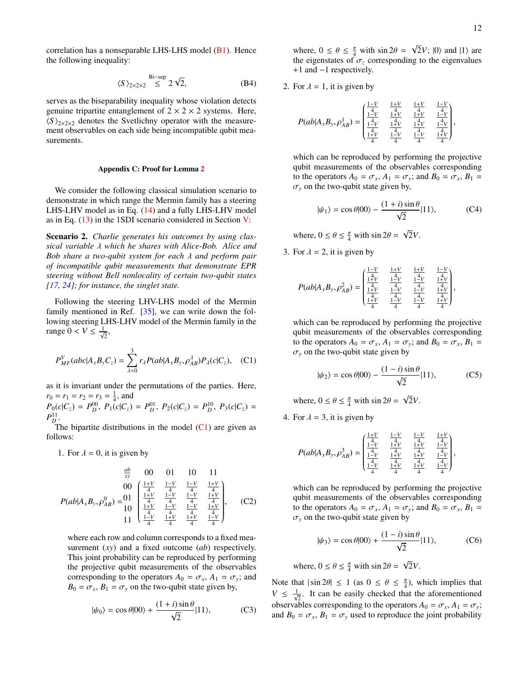correlation has a nonseparable LHS-LHS model  $(B1)$ . Hence the following inequality:

$$
\langle S \rangle_{2 \times 2 \times 2} \stackrel{\text{Bi-sep}}{\leq} 2\sqrt{2},\tag{B4}
$$

serves as the biseparability inequality whose violation detects genuine tripartite entanglement of  $2 \times 2 \times 2$  systems. Here,  $\langle S \rangle_{2 \times 2 \times 2}$  denotes the Svetlichny operator with the measurement observables on each side being incompatible qubit measurements.

#### <span id="page-11-0"></span>Appendix C: Proof for Lemma [2](#page-6-3)

We consider the following classical simulation scenario to demonstrate in which range the Mermin family has a steering LHS-LHV model as in Eq. [\(14\)](#page-3-2) and a fully LHS-LHV model as in Eq. [\(13\)](#page-3-1) in the 1SDI scenario considered in Section [V:](#page-6-0)

<span id="page-11-2"></span>Scenario 2. *Charlie generates his outcomes by using classical variable* λ *which he shares with Alice-Bob. Alice and Bob share a two-qubit system for each* λ *and perform pair of incompatible qubit measurements that demonstrate EPR steering without Bell nonlocality of certain two-qubit states [\[17,](#page-12-13) [24\]](#page-13-0); for instance, the singlet state.*

Following the steering LHV-LHS model of the Mermin family mentioned in Ref. [\[35\]](#page-13-12), we can write down the following steering LHS-LHV model of the Mermin family in the range  $0 < V \leq \frac{1}{\sqrt{2}}$ ,

<span id="page-11-1"></span>
$$
P_{MF}^V(abc|A_xB_yC_z) = \sum_{\lambda=0}^{3} r_{\lambda}P(ab|A_xB_y, \rho_{AB}^{\lambda})P_{\lambda}(c|C_z), \quad (C1)
$$

as it is invariant under the permutations of the parties. Here,  $r_0 = r_1 = r_2 = r_3 = \frac{1}{4}$ , and  $P_0(c|C_z) = P_D^{00}$ ,  $P_1(c|C_z) = P_D^{01}$ ,  $P_2(c|C_z) = P_D^{10}$ ,  $P_3(c|C_z) =$  $P_D^{11}$ .

 $D$ <sup>T</sup> The bipartite distributions in the model [\(C1\)](#page-11-1) are given as follows:

1. For  $\lambda = 0$ , it is given by

$$
P(ab|A_xB_y, \rho_{AB}^0) = \begin{matrix} \frac{ab}{xy} & 00 & 01 & 10 & 11 \\ 0 & 0 & \frac{1+V}{4} & \frac{1-V}{4} & \frac{1+V}{4} \\ \frac{1+V}{4} & \frac{1-V}{4} & \frac{1-V}{4} & \frac{1+V}{4} \\ 10 & \frac{1+V}{4} & \frac{1-V}{4} & \frac{1+V}{4} & \frac{1+V}{4} \\ 11 & \frac{1-V}{4} & \frac{1+V}{4} & \frac{1+V}{4} & \frac{1-V}{4} \end{matrix}, \qquad (C2)
$$

where each row and column corresponds to a fixed measurement (*xy*) and a fixed outcome (*ab*) respectively. This joint probability can be reproduced by performing the projective qubit measurements of the observables corresponding to the operators  $A_0 = \sigma_x$ ,  $A_1 = \sigma_y$ ; and  $B_0 = \sigma_x$ ,  $B_1 = \sigma_y$  on the two-qubit state given by,

$$
|\psi_0\rangle = \cos\theta|00\rangle + \frac{(1+i)\sin\theta}{\sqrt{2}}|11\rangle, \tag{C3}
$$

where,  $0 \le \theta \le \frac{\pi}{4}$  with  $\sin 2\theta =$ <br>the eigenstates of  $\sigma$  correspond √  $2V$ ;  $|0\rangle$  and  $|1\rangle$  are the eigenstates of  $\sigma_z$  corresponding to the eigenvalues +1 and −1 respectively.

2. For 
$$
\lambda = 1
$$
, it is given by

$$
P(ab|A_xB_y, \rho_{AB}^1) = \begin{pmatrix} \frac{1-V}{4} & \frac{1+V}{4} & \frac{1+V}{4} & \frac{1-V}{4} \\ \frac{1-V}{4} & \frac{1+V}{4} & \frac{1+V}{4} & \frac{1-V}{4} \\ \frac{1+V}{4} & \frac{1+V}{4} & \frac{1+V}{4} & \frac{1-V}{4} \\ \frac{1+V}{4} & \frac{1-V}{4} & \frac{1-V}{4} & \frac{1+V}{4} \end{pmatrix},
$$

which can be reproduced by performing the projective qubit measurements of the observables corresponding to the operators  $A_0 = \sigma_x$ ,  $A_1 = \sigma_y$ ; and  $B_0 = \sigma_x$ ,  $B_1 =$  $\sigma$ <sub>y</sub> on the two-qubit state given by,

$$
|\psi_1\rangle = \cos\theta|00\rangle - \frac{(1+i)\sin\theta}{\sqrt{2}}|11\rangle, \tag{C4}
$$

where,  $0 \le \theta \le \frac{\pi}{4}$  with  $\sin 2\theta =$ √ 2*V*.

3. For  $\lambda = 2$ , it is given by

$$
P(ab|A_xB_y, \rho^2_{AB}) = \begin{pmatrix} \frac{1-V}{4} & \frac{1+V}{4} & \frac{1+V}{4} & \frac{1-V}{4} \\ \frac{1+V}{4} & \frac{1-V}{4} & \frac{1-V}{4} & \frac{1+V}{4} \\ \frac{1+V}{4} & \frac{1+V}{4} & \frac{1+V}{4} & \frac{1+V}{4} \\ \frac{1+V}{4} & \frac{1+V}{4} & \frac{1+V}{4} & \frac{1+V}{4} \end{pmatrix},
$$

which can be reproduced by performing the projective qubit measurements of the observables corresponding to the operators  $A_0 = \sigma_x$ ,  $A_1 = \sigma_y$ ; and  $B_0 = \sigma_x$ ,  $B_1 =$  $\sigma_y$  on the two-qubit state given by

$$
|\psi_2\rangle = \cos\theta|00\rangle - \frac{(1-i)\sin\theta}{\sqrt{2}}|11\rangle, \tag{C5}
$$

where,  $0 \le \theta \le \frac{\pi}{4}$  with  $\sin 2\theta =$ √ 2*V*.

4. For  $\lambda = 3$ , it is given by

$$
P(ab|A_xB_y, \rho^3_{AB}) = \begin{pmatrix} \frac{1+V}{1-V} & \frac{1-V}{4} & \frac{1+V}{4} & \frac{1+V}{4} \\ \frac{1-V}{4} & \frac{1+V}{4} & \frac{1+V}{4} & \frac{1+V}{4} \\ \frac{1+V}{4} & \frac{1+V}{4} & \frac{1+V}{4} & \frac{1+V}{4} \\ \frac{1+V}{4} & \frac{1+V}{4} & \frac{1+V}{4} & \frac{1+V}{4} \end{pmatrix},
$$

which can be reproduced by performing the projective qubit measurements of the observables corresponding to the operators  $A_0 = \sigma_x$ ,  $A_1 = \sigma_y$ ; and  $B_0 = \sigma_x$ ,  $B_1 =$  $\sigma_y$  on the two-qubit state given by

$$
|\psi_3\rangle = \cos\theta|00\rangle + \frac{(1-i)\sin\theta}{\sqrt{2}}|11\rangle, \tag{C6}
$$

where,  $0 \le \theta \le \frac{\pi}{4}$  with  $\sin 2\theta =$ √ 2*V*.

Note that  $|\sin 2\theta| \le 1$  (as  $0 \le \theta \le \frac{\pi}{4}$ ), which implies that  $V \le \frac{1}{4}$  is an be assisted that the aforementioned  $V \leq \frac{1}{\sqrt{2}}$ . It can be easily checked that the aforementioned observables corresponding to the operators  $A_0 = \sigma_x$ ,  $A_1 = \sigma_y$ ; and  $B_0 = \sigma_x$ ,  $B_1 = \sigma_y$  used to reproduce the joint probability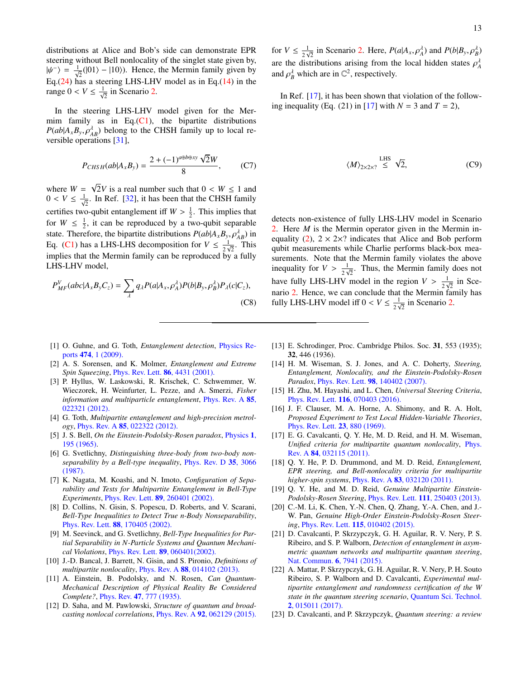distributions at Alice and Bob's side can demonstrate EPR steering without Bell nonlocality of the singlet state given by,  $|\psi^{-}\rangle = \frac{1}{\sqrt{2}}(|01\rangle - |10\rangle)$ . Hence, the Mermin family given by Eq.[\(24\)](#page-6-7) has a steering LHS-LHV model as in Eq.[\(14\)](#page-3-2) in the range  $0 < V \leq \frac{1}{\sqrt{2}}$  in Scenario [2.](#page-11-2)

In the steering LHS-LHV model given for the Mermim family as in Eq. $(C1)$ , the bipartite distributions  $P(ab|A_xB_y, \rho^{\lambda}_{AB})$  belong to the CHSH family up to local reversible operations [31] versible operations [\[31\]](#page-13-11),

$$
P_{CHSH}(ab|A_x B_y) = \frac{2 + (-1)^{a \oplus b \oplus xy} \sqrt{2}W}{8},
$$
 (C7)

where  $W =$ √ 2*V* is a real number such that  $0 < W \le 1$  and  $\ln \text{Ref}$  [32] it has been that the CHSH family  $0 < V \leq \frac{1}{\sqrt{2}}$ . In Ref. [\[32\]](#page-13-10), it has been that the CHSH family certifies two-qubit entanglement iff  $W > \frac{1}{2}$ . This implies that for  $W \leq \frac{1}{2}$ , it can be reproduced by a two-qubit separable state. Therefore, the bipartite distributions  $P(ab|A_xB_y, \rho^{\lambda}_{AB})$  in Eq. [\(C1\)](#page-11-1) has a LHS-LHS decomposition for  $V \n\leq \frac{1}{21}$  $rac{1}{2\sqrt{2}}$ . This implies that the Mermin family can be reproduced by a fully LHS-LHV model,

$$
P_{MF}^{V}(abc|A_xB_yC_z) = \sum_{\lambda} q_{\lambda}P(a|A_x, \rho_A^{\lambda})P(b|B_y, \rho_B^{\lambda})P_{\lambda}(c|C_z),
$$
\n(C8)

for  $V \leq \frac{1}{24}$  $\frac{1}{2\sqrt{2}}$  in Scenario [2.](#page-11-2) Here,  $P(a|A_x, \rho_A^{\lambda})$  and  $P(b|B_y, \rho_B^{\lambda})$ are the distributions arising from the local hidden states  $\rho_A^A$ <br>and  $\rho_A^A$  which are in  $\mathbb{C}^2$  respectively. and  $\rho_B^{\lambda}$  which are in  $\mathbb{C}^2$ , respectively.

In Ref. [\[17\]](#page-12-13), it has been shown that violation of the follow-ing inequality (Eq. (21) in [\[17\]](#page-12-13) with  $N = 3$  and  $T = 2$ ),

$$
\langle M \rangle_{2 \times 2 \times 7} \stackrel{\text{LHS}}{\leq} \sqrt{2},\tag{C9}
$$

detects non-existence of fully LHS-LHV model in Scenario [2.](#page-11-2) Here *M* is the Mermin operator given in the Mermin in-equality [\(2\)](#page-1-3),  $2 \times 2 \times$ ? indicates that Alice and Bob perform qubit measurements while Charlie performs black-box measurements. Note that the Mermin family violates the above inequality for  $V > \frac{1}{2V}$  $\frac{1}{2\sqrt{2}}$ . Thus, the Mermin family does not have fully LHS-LHV model in the region  $V > \frac{1}{2}$ <br>nario 2. Hance we can conclude that the Marmin f  $\frac{1}{2\sqrt{2}}$  in Scenario [2.](#page-11-2) Hence, we can conclude that the Mermin family has fully LHS-LHV model iff  $0 < V \leq \frac{1}{2V}$  $\frac{1}{2\sqrt{2}}$  in Scenario [2.](#page-11-2)

- <span id="page-12-0"></span>[1] O. Guhne, and G. Toth, *Entanglement detection*, [Physics Re](https://www.sciencedirect.com/science/article/pii/S0370157309000623)ports 474[, 1 \(2009\).](https://www.sciencedirect.com/science/article/pii/S0370157309000623)
- <span id="page-12-1"></span>[2] A. S. Sorensen, and K. Molmer, *Entanglement and Extreme Spin Squeezing*, [Phys. Rev. Lett.](https://journals.aps.org/prl/abstract/10.1103/PhysRevLett.86.4431) 86, 4431 (2001).
- <span id="page-12-2"></span>[3] P. Hyllus, W. Laskowski, R. Krischek, C. Schwemmer, W. Wieczorek, H. Weinfurter, L. Pezze, and A. Smerzi, *Fisher information and multiparticle entanglement*, [Phys. Rev. A](https://journals.aps.org/pra/abstract/10.1103/PhysRevA.85.022321) 85, [022321 \(2012\).](https://journals.aps.org/pra/abstract/10.1103/PhysRevA.85.022321)
- <span id="page-12-3"></span>[4] G. Toth, *Multipartite entanglement and high-precision metrology*, Phys. Rev. A 85[, 022322 \(2012\).](https://journals.aps.org/pra/abstract/10.1103/PhysRevA.85.022322)
- <span id="page-12-4"></span>[5] J. S. Bell, *On the Einstein-Podolsky-Rosen paradox*, [Physics](https://cds.cern.ch/record/111654/files/vol1p195-200_001.pdf) 1, [195 \(1965\).](https://cds.cern.ch/record/111654/files/vol1p195-200_001.pdf)
- <span id="page-12-5"></span>[6] G. Svetlichny, *Distinguishing three-body from two-body nonseparability by a Bell-type inequality*, [Phys. Rev. D](https://journals.aps.org/prd/abstract/10.1103/PhysRevD.35.3066) 35, 3066 [\(1987\).](https://journals.aps.org/prd/abstract/10.1103/PhysRevD.35.3066)
- <span id="page-12-8"></span>[7] K. Nagata, M. Koashi, and N. Imoto, *Configuration of Separability and Tests for Multipartite Entanglement in Bell-Type Experiments*, Phys. Rev. Lett. 89[, 260401 \(2002\).](https://journals.aps.org/prl/abstract/10.1103/PhysRevLett.89.260401)
- [8] D. Collins, N. Gisin, S. Popescu, D. Roberts, and V. Scarani, *Bell-Type Inequalities to Detect True n-Body Nonseparability*, Phys. Rev. Lett. 88[, 170405 \(2002\).](https://journals.aps.org/prl/abstract/10.1103/PhysRevLett.88.170405)
- [9] M. Seevinck, and G. Svetlichny, *Bell-Type Inequalities for Partial Separability in N-Particle Systems and Quantum Mechanical Violations*, Phys. Rev. Lett. 89[, 060401\(2002\).](https://journals.aps.org/prl/abstract/10.1103/PhysRevLett.89.060401)
- <span id="page-12-6"></span>[10] J.-D. Bancal, J. Barrett, N. Gisin, and S. Pironio, *Definitions of multipartite nonlocality*, Phys. Rev. A 88[, 014102 \(2013\).](https://journals.aps.org/pra/abstract/10.1103/PhysRevA.88.014102)
- <span id="page-12-10"></span>[11] A. Einstein, B. Podolsky, and N. Rosen, *Can Quantum-Mechanical Description of Physical Reality Be Considered Complete?*, Phys. Rev. 47[, 777 \(1935\).](https://journals.aps.org/pr/abstract/10.1103/PhysRev.47.777)
- <span id="page-12-7"></span>[12] D. Saha, and M. Pawlowski, *Structure of quantum and broadcasting nonlocal correlations*, Phys. Rev. A 92[, 062129 \(2015\).](https://journals.aps.org/pra/abstract/10.1103/PhysRevA.92.062129)
- <span id="page-12-9"></span>[13] E. Schrodinger, Proc. Cambridge Philos. Soc. 31, 553 (1935); 32, 446 (1936).
- <span id="page-12-11"></span>[14] H. M. Wiseman, S. J. Jones, and A. C. Doherty, *Steering, Entanglement, Nonlocality, and the Einstein-Podolsky-Rosen Paradox*, Phys. Rev. Lett. 98[, 140402 \(2007\).](https://journals.aps.org/prl/abstract/10.1103/PhysRevLett.98.140402)
- <span id="page-12-12"></span>[15] H. Zhu, M. Hayashi, and L. Chen, *Universal Steering Criteria*, Phys. Rev. Lett. 116[, 070403 \(2016\).](https://journals.aps.org/prl/abstract/10.1103/PhysRevLett.116.070403)
- <span id="page-12-20"></span>[16] J. F. Clauser, M. A. Horne, A. Shimony, and R. A. Holt, *Proposed Experiment to Test Local Hidden-Variable Theories*, [Phys. Rev. Lett.](https://journals.aps.org/prl/abstract/10.1103/PhysRevLett.23.880) 23, 880 (1969).
- <span id="page-12-13"></span>[17] E. G. Cavalcanti, Q. Y. He, M. D. Reid, and H. M. Wiseman, *Unified criteria for multipartite quantum nonlocality*, [Phys.](https://journals.aps.org/pra/abstract/10.1103/PhysRevA.84.032115) Rev. A 84[, 032115 \(2011\).](https://journals.aps.org/pra/abstract/10.1103/PhysRevA.84.032115)
- <span id="page-12-14"></span>[18] Q. Y. He, P. D. Drummond, and M. D. Reid, *Entanglement, EPR steering, and Bell-nonlocality criteria for multipartite higher-spin systems*, Phys. Rev. A 83[, 032120 \(2011\).](https://journals.aps.org/pra/abstract/10.1103/PhysRevA.83.032120)
- <span id="page-12-15"></span>[19] Q. Y. He, and M. D. Reid, *Genuine Multipartite Einstein-Podolsky-Rosen Steering*, Phys. Rev. Lett. 111[, 250403 \(2013\).](https://journals.aps.org/prl/abstract/10.1103/PhysRevLett.111.250403)
- <span id="page-12-16"></span>[20] C.-M. Li, K. Chen, Y.-N. Chen, Q. Zhang, Y.-A. Chen, and J.- W. Pan, *Genuine High-Order Einstein-Podolsky-Rosen Steering*, Phys. Rev. Lett. 115[, 010402 \(2015\).](https://journals.aps.org/prl/abstract/10.1103/PhysRevLett.115.010402)
- <span id="page-12-17"></span>[21] D. Cavalcanti, P. Skrzypczyk, G. H. Aguilar, R. V. Nery, P. S. Ribeiro, and S. P. Walborn, *Detection of entanglement in asymmetric quantum networks and multipartite quantum steering*, [Nat. Commun.](https://www.nature.com/articles/ncomms8941) 6, 7941 (2015).
- <span id="page-12-18"></span>[22] A. Mattar, P. Skrzypczyk, G. H. Aguilar, R. V. Nery, P. H. Souto Ribeiro, S. P. Walborn and D. Cavalcanti, *Experimental multipartite entanglement and randomness certification of the W state in the quantum steering scenario*, [Quantum Sci. Technol.](http://iopscience.iop.org/article/10.1088/2058-9565/aa629b/meta) 2[, 015011 \(2017\).](http://iopscience.iop.org/article/10.1088/2058-9565/aa629b/meta)
- <span id="page-12-19"></span>[23] D. Cavalcanti, and P. Skrzypczyk, *Quantum steering: a review*